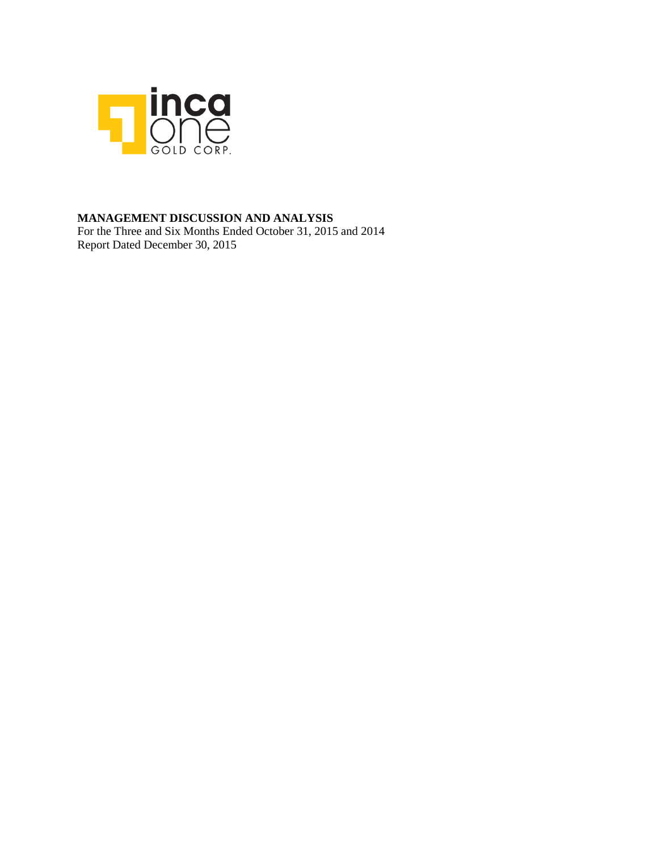

### **MANAGEMENT DISCUSSION AND ANALYSIS**

For the Three and Six Months Ended October 31, 2015 and 2014 Report Dated December 30, 2015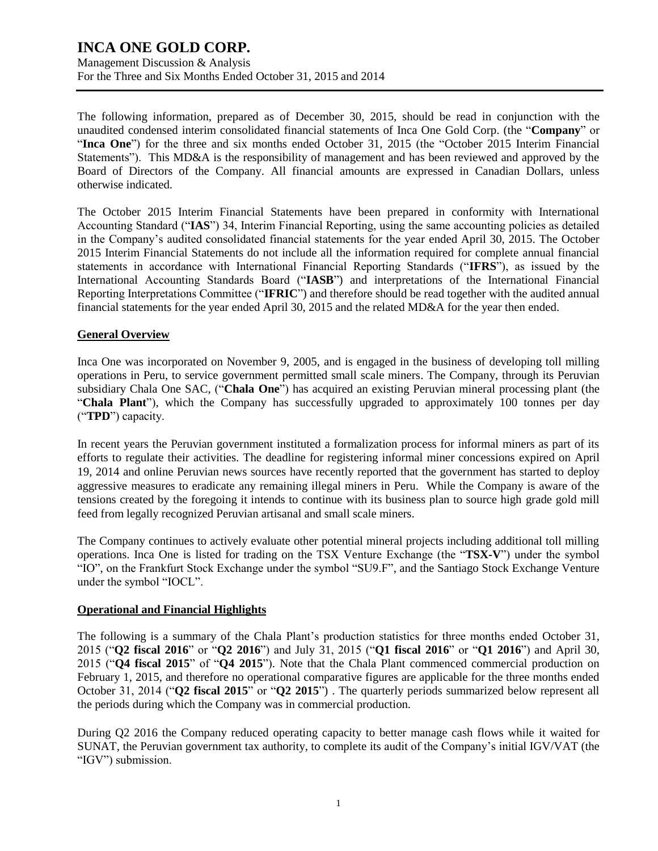Management Discussion & Analysis For the Three and Six Months Ended October 31, 2015 and 2014

The following information, prepared as of December 30, 2015, should be read in conjunction with the unaudited condensed interim consolidated financial statements of Inca One Gold Corp. (the "**Company**" or "**Inca One**") for the three and six months ended October 31, 2015 (the "October 2015 Interim Financial Statements"). This MD&A is the responsibility of management and has been reviewed and approved by the Board of Directors of the Company. All financial amounts are expressed in Canadian Dollars, unless otherwise indicated.

The October 2015 Interim Financial Statements have been prepared in conformity with International Accounting Standard ("**IAS**") 34, Interim Financial Reporting, using the same accounting policies as detailed in the Company's audited consolidated financial statements for the year ended April 30, 2015. The October 2015 Interim Financial Statements do not include all the information required for complete annual financial statements in accordance with International Financial Reporting Standards ("**IFRS**"), as issued by the International Accounting Standards Board ("**IASB**") and interpretations of the International Financial Reporting Interpretations Committee ("**IFRIC**") and therefore should be read together with the audited annual financial statements for the year ended April 30, 2015 and the related MD&A for the year then ended.

### **General Overview**

Inca One was incorporated on November 9, 2005, and is engaged in the business of developing toll milling operations in Peru, to service government permitted small scale miners. The Company, through its Peruvian subsidiary Chala One SAC, ("**Chala One**") has acquired an existing Peruvian mineral processing plant (the "**Chala Plant**"), which the Company has successfully upgraded to approximately 100 tonnes per day ("**TPD**") capacity.

In recent years the Peruvian government instituted a formalization process for informal miners as part of its efforts to regulate their activities. The deadline for registering informal miner concessions expired on April 19, 2014 and online Peruvian news sources have recently reported that the government has started to deploy aggressive measures to eradicate any remaining illegal miners in Peru. While the Company is aware of the tensions created by the foregoing it intends to continue with its business plan to source high grade gold mill feed from legally recognized Peruvian artisanal and small scale miners.

The Company continues to actively evaluate other potential mineral projects including additional toll milling operations. Inca One is listed for trading on the TSX Venture Exchange (the "**TSX-V**") under the symbol "IO", on the Frankfurt Stock Exchange under the symbol "SU9.F", and the Santiago Stock Exchange Venture under the symbol "IOCL".

### **Operational and Financial Highlights**

The following is a summary of the Chala Plant's production statistics for three months ended October 31, 2015 ("**Q2 fiscal 2016**" or "**Q2 2016**") and July 31, 2015 ("**Q1 fiscal 2016**" or "**Q1 2016**") and April 30, 2015 ("**Q4 fiscal 2015**" of "**Q4 2015**"). Note that the Chala Plant commenced commercial production on February 1, 2015, and therefore no operational comparative figures are applicable for the three months ended October 31, 2014 ("**Q2 fiscal 2015**" or "**Q2 2015**") . The quarterly periods summarized below represent all the periods during which the Company was in commercial production.

During Q2 2016 the Company reduced operating capacity to better manage cash flows while it waited for SUNAT, the Peruvian government tax authority, to complete its audit of the Company's initial IGV/VAT (the "IGV") submission.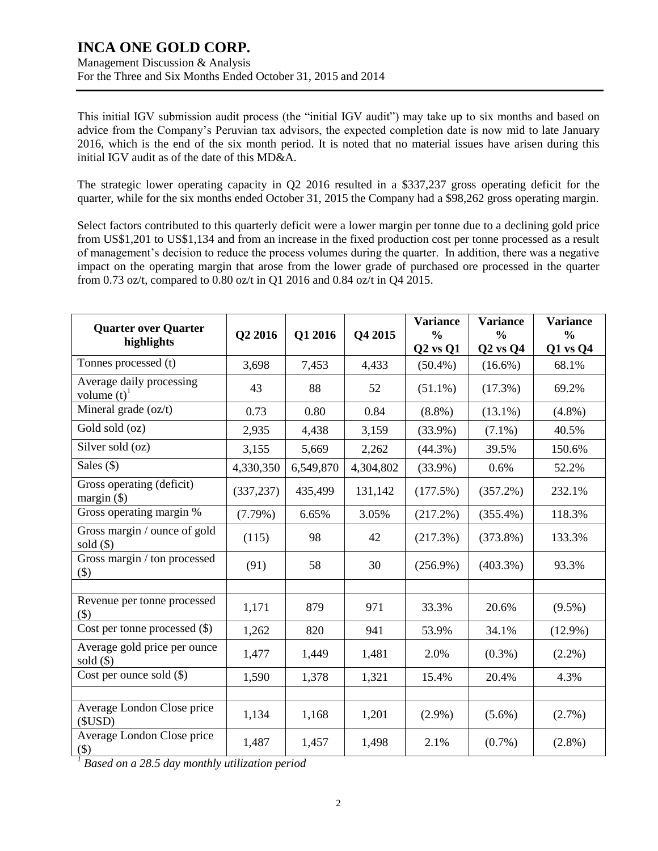### Management Discussion & Analysis For the Three and Six Months Ended October 31, 2015 and 2014

This initial IGV submission audit process (the "initial IGV audit") may take up to six months and based on advice from the Company's Peruvian tax advisors, the expected completion date is now mid to late January 2016, which is the end of the six month period. It is noted that no material issues have arisen during this initial IGV audit as of the date of this MD&A.

The strategic lower operating capacity in Q2 2016 resulted in a \$337,237 gross operating deficit for the quarter, while for the six months ended October 31, 2015 the Company had a \$98,262 gross operating margin.

Select factors contributed to this quarterly deficit were a lower margin per tonne due to a declining gold price from US\$1,201 to US\$1,134 and from an increase in the fixed production cost per tonne processed as a result of management's decision to reduce the process volumes during the quarter. In addition, there was a negative impact on the operating margin that arose from the lower grade of purchased ore processed in the quarter from 0.73 oz/t, compared to 0.80 oz/t in Q1 2016 and 0.84 oz/t in Q4 2015.

| <b>Quarter over Quarter</b><br>highlights             | Q2 2016    | Q1 2016   | Q4 2015   | <b>Variance</b><br>$\frac{0}{0}$<br>$Q2$ vs $Q1$ | <b>Variance</b><br>$\frac{0}{0}$<br>$Q2$ vs $Q4$ | <b>Variance</b><br>$\frac{0}{0}$<br>Q1 vs Q4 |
|-------------------------------------------------------|------------|-----------|-----------|--------------------------------------------------|--------------------------------------------------|----------------------------------------------|
| Tonnes processed (t)                                  | 3,698      | 7,453     | 4,433     | $(50.4\%)$                                       | $(16.6\%)$                                       | 68.1%                                        |
| Average daily processing<br>volume $(t)$ <sup>1</sup> | 43         | 88        | 52        | $(51.1\%)$                                       | $(17.3\%)$                                       | 69.2%                                        |
| Mineral grade (oz/t)                                  | 0.73       | 0.80      | 0.84      | $(8.8\%)$                                        | $(13.1\%)$                                       | $(4.8\%)$                                    |
| Gold sold (oz)                                        | 2,935      | 4,438     | 3,159     | $(33.9\%)$                                       | $(7.1\%)$                                        | 40.5%                                        |
| Silver sold (oz)                                      | 3,155      | 5,669     | 2,262     | $(44.3\%)$                                       | 39.5%                                            | 150.6%                                       |
| Sales $(\$)$                                          | 4,330,350  | 6,549,870 | 4,304,802 | $(33.9\%)$                                       | 0.6%                                             | 52.2%                                        |
| Gross operating (deficit)<br>margin $(\$)$            | (337, 237) | 435,499   | 131,142   | (177.5%)                                         | (357.2%)                                         | 232.1%                                       |
| Gross operating margin %                              | $(7.79\%)$ | 6.65%     | 3.05%     | (217.2%)                                         | $(355.4\%)$                                      | 118.3%                                       |
| Gross margin / ounce of gold<br>$\text{ sold } (\$)$  | (115)      | 98        | 42        | (217.3%)                                         | $(373.8\%)$                                      | 133.3%                                       |
| Gross margin / ton processed<br>$($)$                 | (91)       | 58        | 30        | $(256.9\%)$                                      | $(403.3\%)$                                      | 93.3%                                        |
|                                                       |            |           |           |                                                  |                                                  |                                              |
| Revenue per tonne processed<br>$($)$                  | 1,171      | 879       | 971       | 33.3%                                            | 20.6%                                            | $(9.5\%)$                                    |
| Cost per tonne processed $(\$)$                       | 1,262      | 820       | 941       | 53.9%                                            | 34.1%                                            | $(12.9\%)$                                   |
| Average gold price per ounce<br>$\text{ sold } (\$)$  | 1,477      | 1,449     | 1,481     | 2.0%                                             | $(0.3\%)$                                        | $(2.2\%)$                                    |
| Cost per ounce sold $(\$)$                            | 1,590      | 1,378     | 1,321     | 15.4%                                            | 20.4%                                            | 4.3%                                         |
|                                                       |            |           |           |                                                  |                                                  |                                              |
| Average London Close price<br>(SUSD)                  | 1,134      | 1,168     | 1,201     | $(2.9\%)$                                        | $(5.6\%)$                                        | $(2.7\%)$                                    |
| Average London Close price<br>$(\$)$                  | 1,487      | 1,457     | 1,498     | 2.1%                                             | $(0.7\%)$                                        | $(2.8\%)$                                    |

*<sup>1</sup> Based on a 28.5 day monthly utilization period*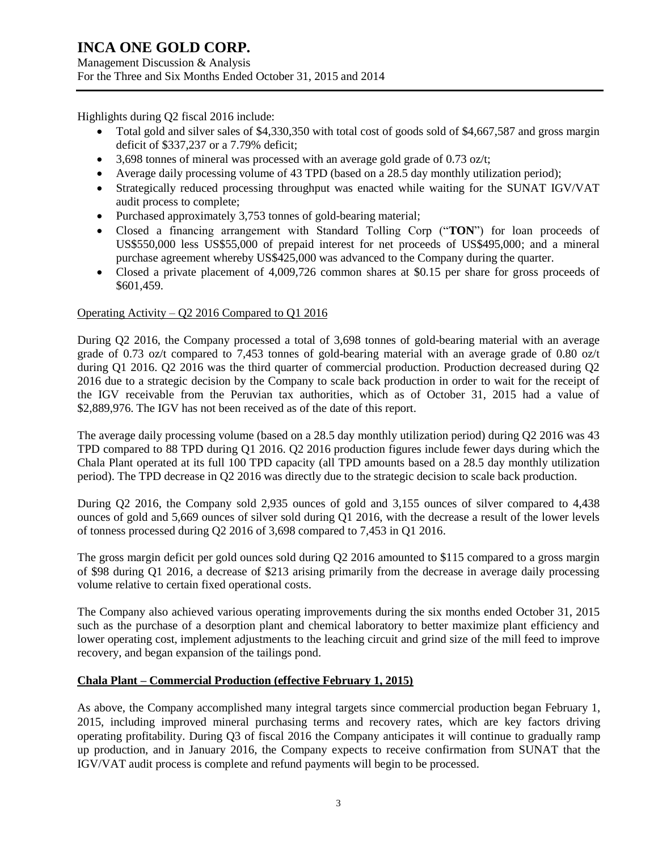Management Discussion & Analysis For the Three and Six Months Ended October 31, 2015 and 2014

Highlights during Q2 fiscal 2016 include:

- Total gold and silver sales of \$4,330,350 with total cost of goods sold of \$4,667,587 and gross margin deficit of \$337,237 or a 7.79% deficit;
- $\bullet$  3,698 tonnes of mineral was processed with an average gold grade of 0.73 oz/t;
- Average daily processing volume of 43 TPD (based on a 28.5 day monthly utilization period);
- Strategically reduced processing throughput was enacted while waiting for the SUNAT IGV/VAT audit process to complete;
- Purchased approximately 3,753 tonnes of gold-bearing material;
- Closed a financing arrangement with Standard Tolling Corp ("**TON**") for loan proceeds of US\$550,000 less US\$55,000 of prepaid interest for net proceeds of US\$495,000; and a mineral purchase agreement whereby US\$425,000 was advanced to the Company during the quarter.
- Closed a private placement of 4,009,726 common shares at \$0.15 per share for gross proceeds of \$601,459.

### Operating Activity – Q2 2016 Compared to Q1 2016

During Q2 2016, the Company processed a total of 3,698 tonnes of gold-bearing material with an average grade of 0.73 oz/t compared to 7,453 tonnes of gold-bearing material with an average grade of 0.80 oz/t during Q1 2016. Q2 2016 was the third quarter of commercial production. Production decreased during Q2 2016 due to a strategic decision by the Company to scale back production in order to wait for the receipt of the IGV receivable from the Peruvian tax authorities, which as of October 31, 2015 had a value of \$2,889,976. The IGV has not been received as of the date of this report.

The average daily processing volume (based on a 28.5 day monthly utilization period) during Q2 2016 was 43 TPD compared to 88 TPD during Q1 2016. Q2 2016 production figures include fewer days during which the Chala Plant operated at its full 100 TPD capacity (all TPD amounts based on a 28.5 day monthly utilization period). The TPD decrease in Q2 2016 was directly due to the strategic decision to scale back production.

During Q2 2016, the Company sold 2,935 ounces of gold and 3,155 ounces of silver compared to 4,438 ounces of gold and 5,669 ounces of silver sold during Q1 2016, with the decrease a result of the lower levels of tonness processed during Q2 2016 of 3,698 compared to 7,453 in Q1 2016.

The gross margin deficit per gold ounces sold during Q2 2016 amounted to \$115 compared to a gross margin of \$98 during Q1 2016, a decrease of \$213 arising primarily from the decrease in average daily processing volume relative to certain fixed operational costs.

The Company also achieved various operating improvements during the six months ended October 31, 2015 such as the purchase of a desorption plant and chemical laboratory to better maximize plant efficiency and lower operating cost, implement adjustments to the leaching circuit and grind size of the mill feed to improve recovery, and began expansion of the tailings pond.

### **Chala Plant – Commercial Production (effective February 1, 2015)**

As above, the Company accomplished many integral targets since commercial production began February 1, 2015, including improved mineral purchasing terms and recovery rates, which are key factors driving operating profitability. During Q3 of fiscal 2016 the Company anticipates it will continue to gradually ramp up production, and in January 2016, the Company expects to receive confirmation from SUNAT that the IGV/VAT audit process is complete and refund payments will begin to be processed.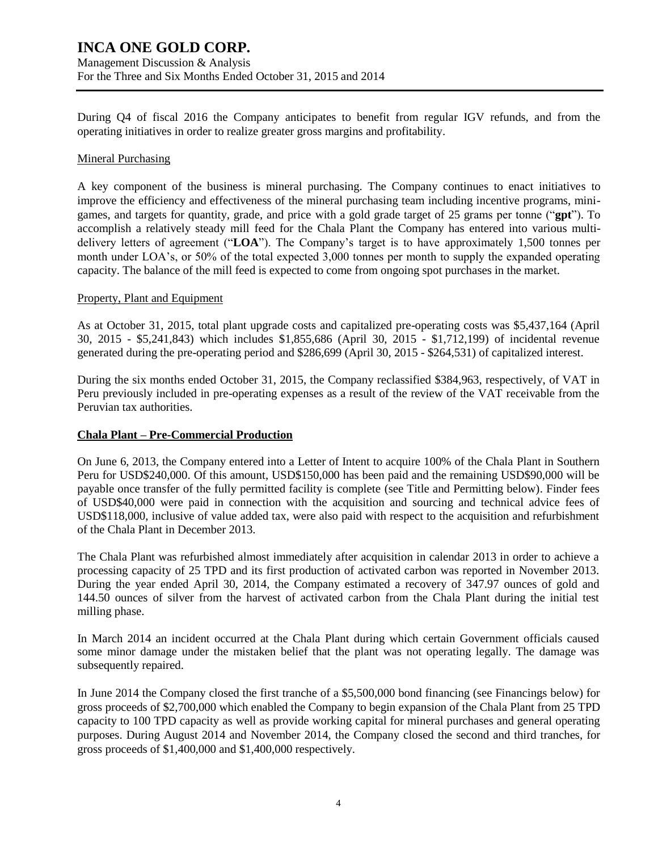Management Discussion & Analysis For the Three and Six Months Ended October 31, 2015 and 2014

During Q4 of fiscal 2016 the Company anticipates to benefit from regular IGV refunds, and from the operating initiatives in order to realize greater gross margins and profitability.

#### Mineral Purchasing

A key component of the business is mineral purchasing. The Company continues to enact initiatives to improve the efficiency and effectiveness of the mineral purchasing team including incentive programs, minigames, and targets for quantity, grade, and price with a gold grade target of 25 grams per tonne ("**gpt**"). To accomplish a relatively steady mill feed for the Chala Plant the Company has entered into various multidelivery letters of agreement ("**LOA**"). The Company's target is to have approximately 1,500 tonnes per month under LOA's, or 50% of the total expected 3,000 tonnes per month to supply the expanded operating capacity. The balance of the mill feed is expected to come from ongoing spot purchases in the market.

### Property, Plant and Equipment

As at October 31, 2015, total plant upgrade costs and capitalized pre-operating costs was \$5,437,164 (April 30, 2015 - \$5,241,843) which includes \$1,855,686 (April 30, 2015 - \$1,712,199) of incidental revenue generated during the pre-operating period and \$286,699 (April 30, 2015 - \$264,531) of capitalized interest.

During the six months ended October 31, 2015, the Company reclassified \$384,963, respectively, of VAT in Peru previously included in pre-operating expenses as a result of the review of the VAT receivable from the Peruvian tax authorities.

### **Chala Plant – Pre-Commercial Production**

On June 6, 2013, the Company entered into a Letter of Intent to acquire 100% of the Chala Plant in Southern Peru for USD\$240,000. Of this amount, USD\$150,000 has been paid and the remaining USD\$90,000 will be payable once transfer of the fully permitted facility is complete (see Title and Permitting below). Finder fees of USD\$40,000 were paid in connection with the acquisition and sourcing and technical advice fees of USD\$118,000, inclusive of value added tax, were also paid with respect to the acquisition and refurbishment of the Chala Plant in December 2013.

The Chala Plant was refurbished almost immediately after acquisition in calendar 2013 in order to achieve a processing capacity of 25 TPD and its first production of activated carbon was reported in November 2013. During the year ended April 30, 2014, the Company estimated a recovery of 347.97 ounces of gold and 144.50 ounces of silver from the harvest of activated carbon from the Chala Plant during the initial test milling phase.

In March 2014 an incident occurred at the Chala Plant during which certain Government officials caused some minor damage under the mistaken belief that the plant was not operating legally. The damage was subsequently repaired.

In June 2014 the Company closed the first tranche of a \$5,500,000 bond financing (see Financings below) for gross proceeds of \$2,700,000 which enabled the Company to begin expansion of the Chala Plant from 25 TPD capacity to 100 TPD capacity as well as provide working capital for mineral purchases and general operating purposes. During August 2014 and November 2014, the Company closed the second and third tranches, for gross proceeds of \$1,400,000 and \$1,400,000 respectively.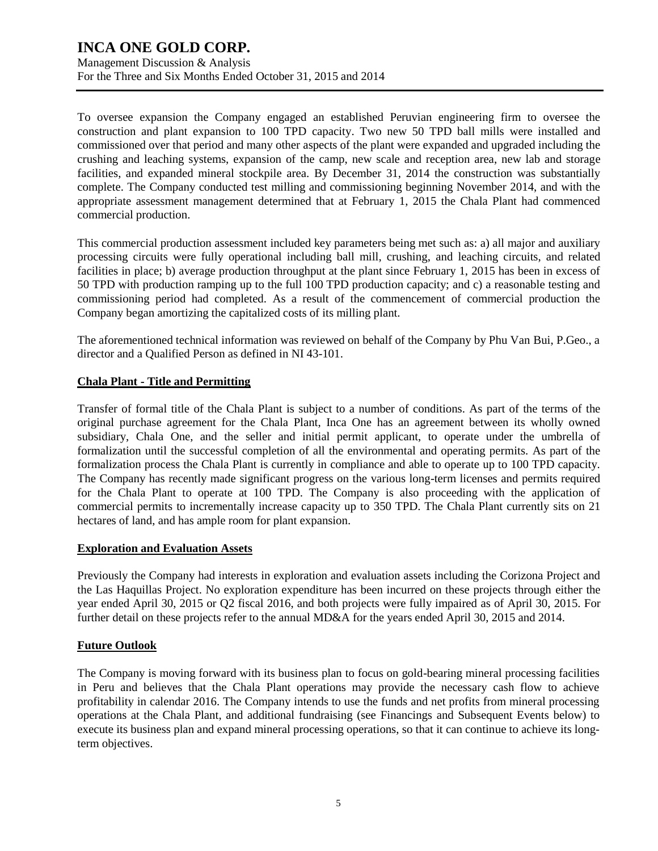To oversee expansion the Company engaged an established Peruvian engineering firm to oversee the construction and plant expansion to 100 TPD capacity. Two new 50 TPD ball mills were installed and commissioned over that period and many other aspects of the plant were expanded and upgraded including the crushing and leaching systems, expansion of the camp, new scale and reception area, new lab and storage facilities, and expanded mineral stockpile area. By December 31, 2014 the construction was substantially complete. The Company conducted test milling and commissioning beginning November 2014, and with the appropriate assessment management determined that at February 1, 2015 the Chala Plant had commenced commercial production.

This commercial production assessment included key parameters being met such as: a) all major and auxiliary processing circuits were fully operational including ball mill, crushing, and leaching circuits, and related facilities in place; b) average production throughput at the plant since February 1, 2015 has been in excess of 50 TPD with production ramping up to the full 100 TPD production capacity; and c) a reasonable testing and commissioning period had completed. As a result of the commencement of commercial production the Company began amortizing the capitalized costs of its milling plant.

The aforementioned technical information was reviewed on behalf of the Company by Phu Van Bui, P.Geo., a director and a Qualified Person as defined in NI 43-101.

### **Chala Plant - Title and Permitting**

Transfer of formal title of the Chala Plant is subject to a number of conditions. As part of the terms of the original purchase agreement for the Chala Plant, Inca One has an agreement between its wholly owned subsidiary, Chala One, and the seller and initial permit applicant, to operate under the umbrella of formalization until the successful completion of all the environmental and operating permits. As part of the formalization process the Chala Plant is currently in compliance and able to operate up to 100 TPD capacity. The Company has recently made significant progress on the various long-term licenses and permits required for the Chala Plant to operate at 100 TPD. The Company is also proceeding with the application of commercial permits to incrementally increase capacity up to 350 TPD. The Chala Plant currently sits on 21 hectares of land, and has ample room for plant expansion.

### **Exploration and Evaluation Assets**

Previously the Company had interests in exploration and evaluation assets including the Corizona Project and the Las Haquillas Project. No exploration expenditure has been incurred on these projects through either the year ended April 30, 2015 or Q2 fiscal 2016, and both projects were fully impaired as of April 30, 2015. For further detail on these projects refer to the annual MD&A for the years ended April 30, 2015 and 2014.

### **Future Outlook**

The Company is moving forward with its business plan to focus on gold-bearing mineral processing facilities in Peru and believes that the Chala Plant operations may provide the necessary cash flow to achieve profitability in calendar 2016. The Company intends to use the funds and net profits from mineral processing operations at the Chala Plant, and additional fundraising (see Financings and Subsequent Events below) to execute its business plan and expand mineral processing operations, so that it can continue to achieve its longterm objectives.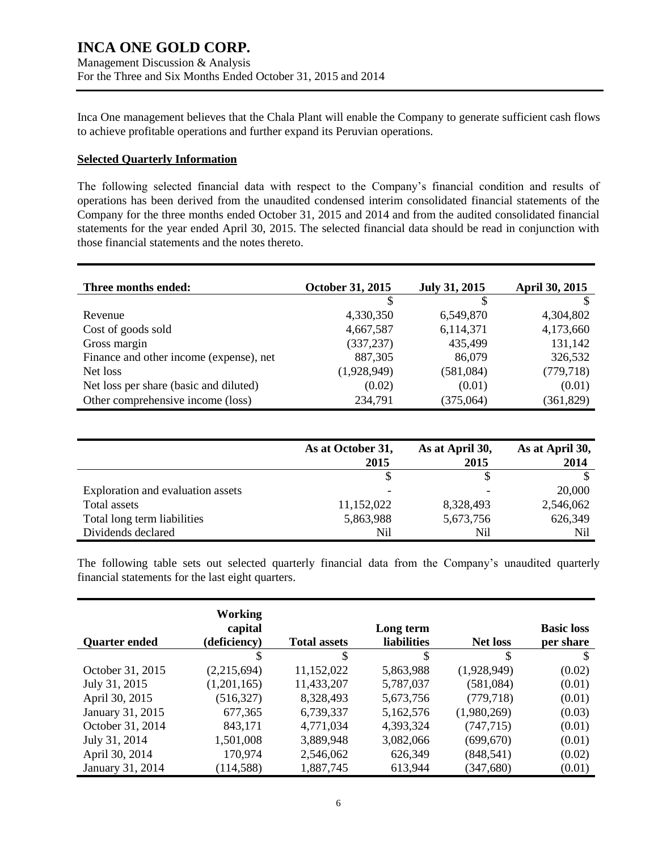Inca One management believes that the Chala Plant will enable the Company to generate sufficient cash flows to achieve profitable operations and further expand its Peruvian operations.

### **Selected Quarterly Information**

The following selected financial data with respect to the Company's financial condition and results of operations has been derived from the unaudited condensed interim consolidated financial statements of the Company for the three months ended October 31, 2015 and 2014 and from the audited consolidated financial statements for the year ended April 30, 2015. The selected financial data should be read in conjunction with those financial statements and the notes thereto.

| Three months ended:                     | October 31, 2015 | July 31, 2015 | <b>April 30, 2015</b> |
|-----------------------------------------|------------------|---------------|-----------------------|
|                                         |                  |               |                       |
| Revenue                                 | 4,330,350        | 6,549,870     | 4,304,802             |
| Cost of goods sold                      | 4,667,587        | 6,114,371     | 4,173,660             |
| Gross margin                            | (337, 237)       | 435,499       | 131,142               |
| Finance and other income (expense), net | 887,305          | 86,079        | 326,532               |
| Net loss                                | (1,928,949)      | (581,084)     | (779, 718)            |
| Net loss per share (basic and diluted)  | (0.02)           | (0.01)        | (0.01)                |
| Other comprehensive income (loss)       | 234,791          | (375,064)     | (361, 829)            |

|                                   | As at October 31,<br>2015 | As at April 30,<br>2015 | As at April 30,<br>2014 |
|-----------------------------------|---------------------------|-------------------------|-------------------------|
|                                   |                           |                         |                         |
| Exploration and evaluation assets | ٠                         |                         | 20,000                  |
| Total assets                      | 11,152,022                | 8,328,493               | 2,546,062               |
| Total long term liabilities       | 5,863,988                 | 5,673,756               | 626,349                 |
| Dividends declared                | Nil                       | Nil                     | Nil                     |

The following table sets out selected quarterly financial data from the Company's unaudited quarterly financial statements for the last eight quarters.

| <b>Quarter ended</b> | Working<br>capital<br>(deficiency) | <b>Total assets</b> | Long term<br><b>liabilities</b> | <b>Net loss</b> | <b>Basic loss</b><br>per share |
|----------------------|------------------------------------|---------------------|---------------------------------|-----------------|--------------------------------|
|                      | S                                  | \$                  | \$                              | S               | S                              |
| October 31, 2015     | (2,215,694)                        | 11,152,022          | 5,863,988                       | (1,928,949)     | (0.02)                         |
| July 31, 2015        | (1,201,165)                        | 11,433,207          | 5,787,037                       | (581,084)       | (0.01)                         |
| April 30, 2015       | (516, 327)                         | 8,328,493           | 5,673,756                       | (779, 718)      | (0.01)                         |
| January 31, 2015     | 677,365                            | 6,739,337           | 5,162,576                       | (1,980,269)     | (0.03)                         |
| October 31, 2014     | 843,171                            | 4,771,034           | 4,393,324                       | (747, 715)      | (0.01)                         |
| July 31, 2014        | 1,501,008                          | 3,889,948           | 3,082,066                       | (699, 670)      | (0.01)                         |
| April 30, 2014       | 170,974                            | 2,546,062           | 626,349                         | (848, 541)      | (0.02)                         |
| January 31, 2014     | (114, 588)                         | 1,887,745           | 613,944                         | (347,680)       | (0.01)                         |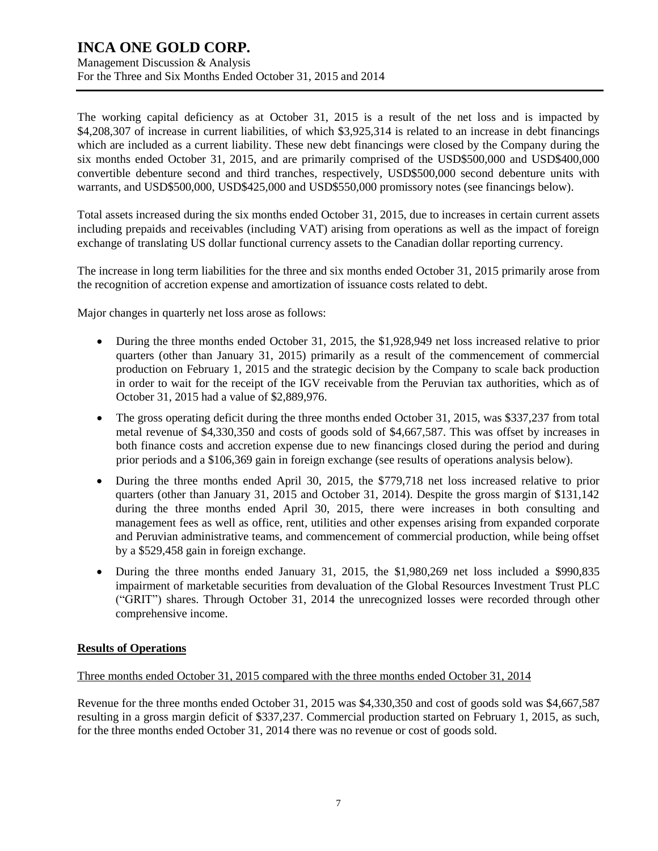Management Discussion & Analysis For the Three and Six Months Ended October 31, 2015 and 2014

The working capital deficiency as at October 31, 2015 is a result of the net loss and is impacted by \$4,208,307 of increase in current liabilities, of which \$3,925,314 is related to an increase in debt financings which are included as a current liability. These new debt financings were closed by the Company during the six months ended October 31, 2015, and are primarily comprised of the USD\$500,000 and USD\$400,000 convertible debenture second and third tranches, respectively, USD\$500,000 second debenture units with warrants, and USD\$500,000, USD\$425,000 and USD\$550,000 promissory notes (see financings below).

Total assets increased during the six months ended October 31, 2015, due to increases in certain current assets including prepaids and receivables (including VAT) arising from operations as well as the impact of foreign exchange of translating US dollar functional currency assets to the Canadian dollar reporting currency.

The increase in long term liabilities for the three and six months ended October 31, 2015 primarily arose from the recognition of accretion expense and amortization of issuance costs related to debt.

Major changes in quarterly net loss arose as follows:

- During the three months ended October 31, 2015, the \$1,928,949 net loss increased relative to prior quarters (other than January 31, 2015) primarily as a result of the commencement of commercial production on February 1, 2015 and the strategic decision by the Company to scale back production in order to wait for the receipt of the IGV receivable from the Peruvian tax authorities, which as of October 31, 2015 had a value of \$2,889,976.
- The gross operating deficit during the three months ended October 31, 2015, was \$337,237 from total metal revenue of \$4,330,350 and costs of goods sold of \$4,667,587. This was offset by increases in both finance costs and accretion expense due to new financings closed during the period and during prior periods and a \$106,369 gain in foreign exchange (see results of operations analysis below).
- During the three months ended April 30, 2015, the \$779,718 net loss increased relative to prior quarters (other than January 31, 2015 and October 31, 2014). Despite the gross margin of \$131,142 during the three months ended April 30, 2015, there were increases in both consulting and management fees as well as office, rent, utilities and other expenses arising from expanded corporate and Peruvian administrative teams, and commencement of commercial production, while being offset by a \$529,458 gain in foreign exchange.
- During the three months ended January 31, 2015, the \$1,980,269 net loss included a \$990,835 impairment of marketable securities from devaluation of the Global Resources Investment Trust PLC ("GRIT") shares. Through October 31, 2014 the unrecognized losses were recorded through other comprehensive income.

### **Results of Operations**

Three months ended October 31, 2015 compared with the three months ended October 31, 2014

Revenue for the three months ended October 31, 2015 was \$4,330,350 and cost of goods sold was \$4,667,587 resulting in a gross margin deficit of \$337,237. Commercial production started on February 1, 2015, as such, for the three months ended October 31, 2014 there was no revenue or cost of goods sold.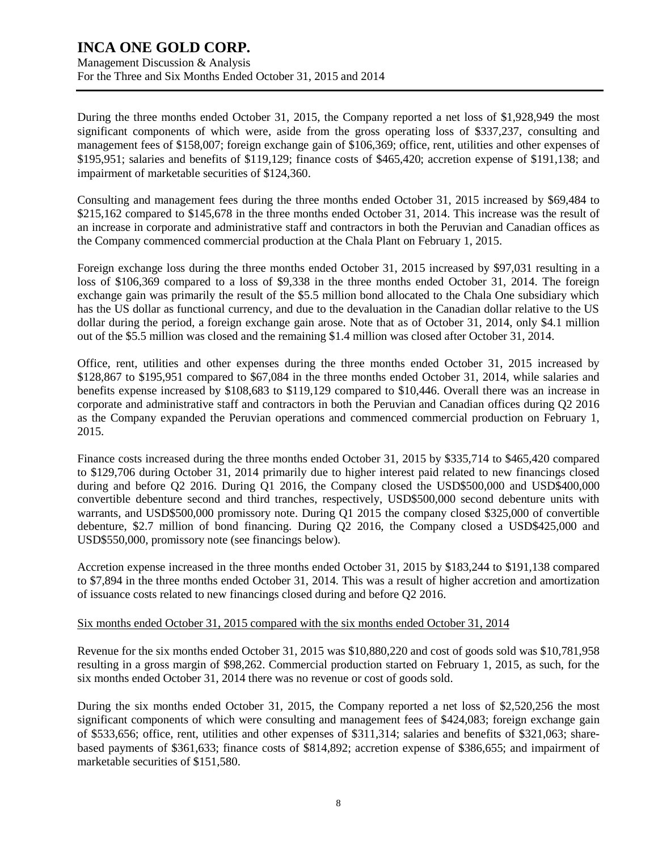Management Discussion & Analysis For the Three and Six Months Ended October 31, 2015 and 2014

During the three months ended October 31, 2015, the Company reported a net loss of \$1,928,949 the most significant components of which were, aside from the gross operating loss of \$337,237, consulting and management fees of \$158,007; foreign exchange gain of \$106,369; office, rent, utilities and other expenses of \$195,951; salaries and benefits of \$119,129; finance costs of \$465,420; accretion expense of \$191,138; and impairment of marketable securities of \$124,360.

Consulting and management fees during the three months ended October 31, 2015 increased by \$69,484 to \$215,162 compared to \$145,678 in the three months ended October 31, 2014. This increase was the result of an increase in corporate and administrative staff and contractors in both the Peruvian and Canadian offices as the Company commenced commercial production at the Chala Plant on February 1, 2015.

Foreign exchange loss during the three months ended October 31, 2015 increased by \$97,031 resulting in a loss of \$106,369 compared to a loss of \$9,338 in the three months ended October 31, 2014. The foreign exchange gain was primarily the result of the \$5.5 million bond allocated to the Chala One subsidiary which has the US dollar as functional currency, and due to the devaluation in the Canadian dollar relative to the US dollar during the period, a foreign exchange gain arose. Note that as of October 31, 2014, only \$4.1 million out of the \$5.5 million was closed and the remaining \$1.4 million was closed after October 31, 2014.

Office, rent, utilities and other expenses during the three months ended October 31, 2015 increased by \$128,867 to \$195,951 compared to \$67,084 in the three months ended October 31, 2014, while salaries and benefits expense increased by \$108,683 to \$119,129 compared to \$10,446. Overall there was an increase in corporate and administrative staff and contractors in both the Peruvian and Canadian offices during Q2 2016 as the Company expanded the Peruvian operations and commenced commercial production on February 1, 2015.

Finance costs increased during the three months ended October 31, 2015 by \$335,714 to \$465,420 compared to \$129,706 during October 31, 2014 primarily due to higher interest paid related to new financings closed during and before Q2 2016. During Q1 2016, the Company closed the USD\$500,000 and USD\$400,000 convertible debenture second and third tranches, respectively, USD\$500,000 second debenture units with warrants, and USD\$500,000 promissory note. During Q1 2015 the company closed \$325,000 of convertible debenture, \$2.7 million of bond financing. During Q2 2016, the Company closed a USD\$425,000 and USD\$550,000, promissory note (see financings below).

Accretion expense increased in the three months ended October 31, 2015 by \$183,244 to \$191,138 compared to \$7,894 in the three months ended October 31, 2014. This was a result of higher accretion and amortization of issuance costs related to new financings closed during and before Q2 2016.

### Six months ended October 31, 2015 compared with the six months ended October 31, 2014

Revenue for the six months ended October 31, 2015 was \$10,880,220 and cost of goods sold was \$10,781,958 resulting in a gross margin of \$98,262. Commercial production started on February 1, 2015, as such, for the six months ended October 31, 2014 there was no revenue or cost of goods sold.

During the six months ended October 31, 2015, the Company reported a net loss of \$2,520,256 the most significant components of which were consulting and management fees of \$424,083; foreign exchange gain of \$533,656; office, rent, utilities and other expenses of \$311,314; salaries and benefits of \$321,063; sharebased payments of \$361,633; finance costs of \$814,892; accretion expense of \$386,655; and impairment of marketable securities of \$151,580.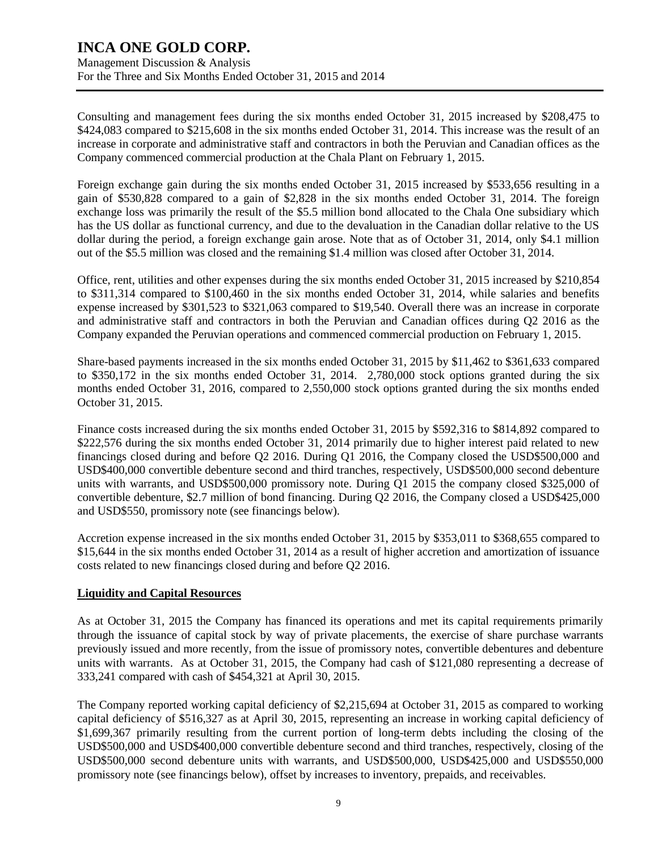Management Discussion & Analysis For the Three and Six Months Ended October 31, 2015 and 2014

Consulting and management fees during the six months ended October 31, 2015 increased by \$208,475 to \$424,083 compared to \$215,608 in the six months ended October 31, 2014. This increase was the result of an increase in corporate and administrative staff and contractors in both the Peruvian and Canadian offices as the Company commenced commercial production at the Chala Plant on February 1, 2015.

Foreign exchange gain during the six months ended October 31, 2015 increased by \$533,656 resulting in a gain of \$530,828 compared to a gain of \$2,828 in the six months ended October 31, 2014. The foreign exchange loss was primarily the result of the \$5.5 million bond allocated to the Chala One subsidiary which has the US dollar as functional currency, and due to the devaluation in the Canadian dollar relative to the US dollar during the period, a foreign exchange gain arose. Note that as of October 31, 2014, only \$4.1 million out of the \$5.5 million was closed and the remaining \$1.4 million was closed after October 31, 2014.

Office, rent, utilities and other expenses during the six months ended October 31, 2015 increased by \$210,854 to \$311,314 compared to \$100,460 in the six months ended October 31, 2014, while salaries and benefits expense increased by \$301,523 to \$321,063 compared to \$19,540. Overall there was an increase in corporate and administrative staff and contractors in both the Peruvian and Canadian offices during Q2 2016 as the Company expanded the Peruvian operations and commenced commercial production on February 1, 2015.

Share-based payments increased in the six months ended October 31, 2015 by \$11,462 to \$361,633 compared to \$350,172 in the six months ended October 31, 2014. 2,780,000 stock options granted during the six months ended October 31, 2016, compared to 2,550,000 stock options granted during the six months ended October 31, 2015.

Finance costs increased during the six months ended October 31, 2015 by \$592,316 to \$814,892 compared to \$222,576 during the six months ended October 31, 2014 primarily due to higher interest paid related to new financings closed during and before Q2 2016. During Q1 2016, the Company closed the USD\$500,000 and USD\$400,000 convertible debenture second and third tranches, respectively, USD\$500,000 second debenture units with warrants, and USD\$500,000 promissory note. During Q1 2015 the company closed \$325,000 of convertible debenture, \$2.7 million of bond financing. During Q2 2016, the Company closed a USD\$425,000 and USD\$550, promissory note (see financings below).

Accretion expense increased in the six months ended October 31, 2015 by \$353,011 to \$368,655 compared to \$15,644 in the six months ended October 31, 2014 as a result of higher accretion and amortization of issuance costs related to new financings closed during and before Q2 2016.

### **Liquidity and Capital Resources**

As at October 31, 2015 the Company has financed its operations and met its capital requirements primarily through the issuance of capital stock by way of private placements, the exercise of share purchase warrants previously issued and more recently, from the issue of promissory notes, convertible debentures and debenture units with warrants. As at October 31, 2015, the Company had cash of \$121,080 representing a decrease of 333,241 compared with cash of \$454,321 at April 30, 2015.

The Company reported working capital deficiency of \$2,215,694 at October 31, 2015 as compared to working capital deficiency of \$516,327 as at April 30, 2015, representing an increase in working capital deficiency of \$1,699,367 primarily resulting from the current portion of long-term debts including the closing of the USD\$500,000 and USD\$400,000 convertible debenture second and third tranches, respectively, closing of the USD\$500,000 second debenture units with warrants, and USD\$500,000, USD\$425,000 and USD\$550,000 promissory note (see financings below), offset by increases to inventory, prepaids, and receivables.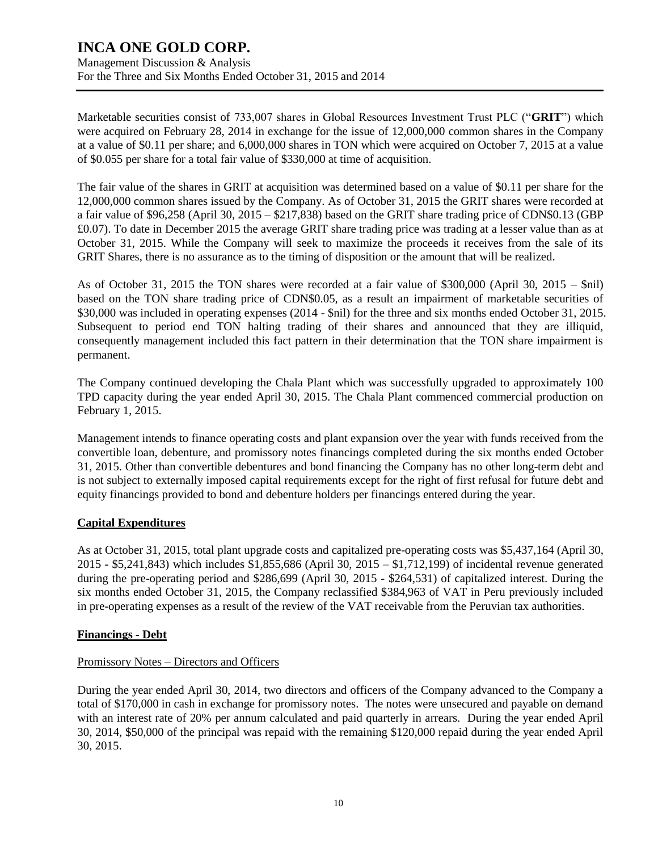Management Discussion & Analysis For the Three and Six Months Ended October 31, 2015 and 2014

Marketable securities consist of 733,007 shares in Global Resources Investment Trust PLC ("**GRIT**") which were acquired on February 28, 2014 in exchange for the issue of 12,000,000 common shares in the Company at a value of \$0.11 per share; and 6,000,000 shares in TON which were acquired on October 7, 2015 at a value of \$0.055 per share for a total fair value of \$330,000 at time of acquisition.

The fair value of the shares in GRIT at acquisition was determined based on a value of \$0.11 per share for the 12,000,000 common shares issued by the Company. As of October 31, 2015 the GRIT shares were recorded at a fair value of \$96,258 (April 30, 2015 – \$217,838) based on the GRIT share trading price of CDN\$0.13 (GBP £0.07). To date in December 2015 the average GRIT share trading price was trading at a lesser value than as at October 31, 2015. While the Company will seek to maximize the proceeds it receives from the sale of its GRIT Shares, there is no assurance as to the timing of disposition or the amount that will be realized.

As of October 31, 2015 the TON shares were recorded at a fair value of \$300,000 (April 30, 2015 – \$nil) based on the TON share trading price of CDN\$0.05, as a result an impairment of marketable securities of \$30,000 was included in operating expenses (2014 - \$nil) for the three and six months ended October 31, 2015. Subsequent to period end TON halting trading of their shares and announced that they are illiquid, consequently management included this fact pattern in their determination that the TON share impairment is permanent.

The Company continued developing the Chala Plant which was successfully upgraded to approximately 100 TPD capacity during the year ended April 30, 2015. The Chala Plant commenced commercial production on February 1, 2015.

Management intends to finance operating costs and plant expansion over the year with funds received from the convertible loan, debenture, and promissory notes financings completed during the six months ended October 31, 2015. Other than convertible debentures and bond financing the Company has no other long-term debt and is not subject to externally imposed capital requirements except for the right of first refusal for future debt and equity financings provided to bond and debenture holders per financings entered during the year.

### **Capital Expenditures**

As at October 31, 2015, total plant upgrade costs and capitalized pre-operating costs was \$5,437,164 (April 30, 2015 - \$5,241,843) which includes \$1,855,686 (April 30, 2015 – \$1,712,199) of incidental revenue generated during the pre-operating period and \$286,699 (April 30, 2015 - \$264,531) of capitalized interest. During the six months ended October 31, 2015, the Company reclassified \$384,963 of VAT in Peru previously included in pre-operating expenses as a result of the review of the VAT receivable from the Peruvian tax authorities.

### **Financings - Debt**

### Promissory Notes – Directors and Officers

During the year ended April 30, 2014, two directors and officers of the Company advanced to the Company a total of \$170,000 in cash in exchange for promissory notes. The notes were unsecured and payable on demand with an interest rate of 20% per annum calculated and paid quarterly in arrears. During the year ended April 30, 2014, \$50,000 of the principal was repaid with the remaining \$120,000 repaid during the year ended April 30, 2015.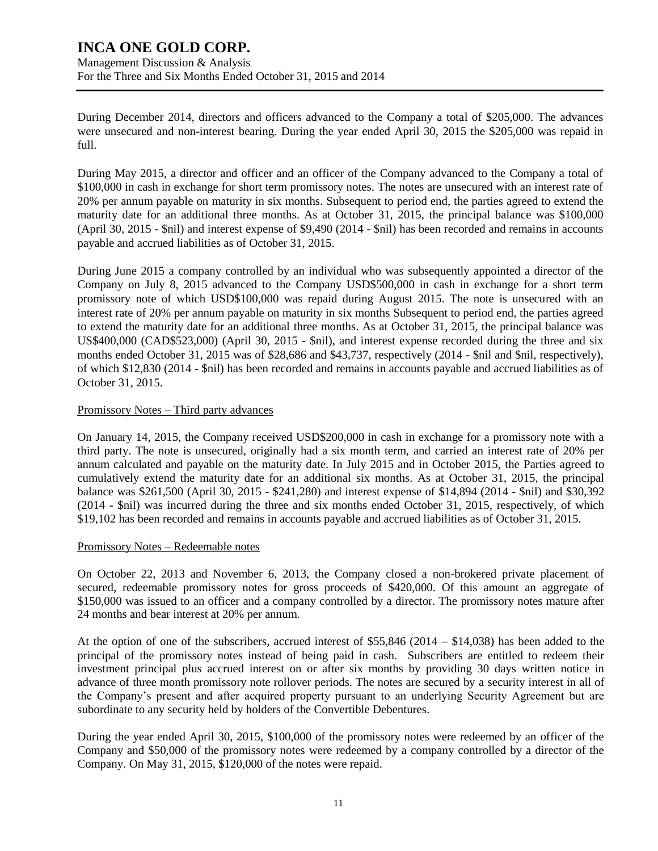Management Discussion & Analysis For the Three and Six Months Ended October 31, 2015 and 2014

During December 2014, directors and officers advanced to the Company a total of \$205,000. The advances were unsecured and non-interest bearing. During the year ended April 30, 2015 the \$205,000 was repaid in full.

During May 2015, a director and officer and an officer of the Company advanced to the Company a total of \$100,000 in cash in exchange for short term promissory notes. The notes are unsecured with an interest rate of 20% per annum payable on maturity in six months. Subsequent to period end, the parties agreed to extend the maturity date for an additional three months. As at October 31, 2015, the principal balance was \$100,000 (April 30, 2015 - \$nil) and interest expense of \$9,490 (2014 - \$nil) has been recorded and remains in accounts payable and accrued liabilities as of October 31, 2015.

During June 2015 a company controlled by an individual who was subsequently appointed a director of the Company on July 8, 2015 advanced to the Company USD\$500,000 in cash in exchange for a short term promissory note of which USD\$100,000 was repaid during August 2015. The note is unsecured with an interest rate of 20% per annum payable on maturity in six months Subsequent to period end, the parties agreed to extend the maturity date for an additional three months. As at October 31, 2015, the principal balance was US\$400,000 (CAD\$523,000) (April 30, 2015 - \$nil), and interest expense recorded during the three and six months ended October 31, 2015 was of \$28,686 and \$43,737, respectively (2014 - \$nil and \$nil, respectively), of which \$12,830 (2014 - \$nil) has been recorded and remains in accounts payable and accrued liabilities as of October 31, 2015.

### Promissory Notes – Third party advances

On January 14, 2015, the Company received USD\$200,000 in cash in exchange for a promissory note with a third party. The note is unsecured, originally had a six month term, and carried an interest rate of 20% per annum calculated and payable on the maturity date. In July 2015 and in October 2015, the Parties agreed to cumulatively extend the maturity date for an additional six months. As at October 31, 2015, the principal balance was \$261,500 (April 30, 2015 - \$241,280) and interest expense of \$14,894 (2014 - \$nil) and \$30,392 (2014 - \$nil) was incurred during the three and six months ended October 31, 2015, respectively, of which \$19,102 has been recorded and remains in accounts payable and accrued liabilities as of October 31, 2015.

### Promissory Notes – Redeemable notes

On October 22, 2013 and November 6, 2013, the Company closed a non-brokered private placement of secured, redeemable promissory notes for gross proceeds of \$420,000. Of this amount an aggregate of \$150,000 was issued to an officer and a company controlled by a director. The promissory notes mature after 24 months and bear interest at 20% per annum.

At the option of one of the subscribers, accrued interest of \$55,846 (2014 – \$14,038) has been added to the principal of the promissory notes instead of being paid in cash. Subscribers are entitled to redeem their investment principal plus accrued interest on or after six months by providing 30 days written notice in advance of three month promissory note rollover periods. The notes are secured by a security interest in all of the Company's present and after acquired property pursuant to an underlying Security Agreement but are subordinate to any security held by holders of the Convertible Debentures.

During the year ended April 30, 2015, \$100,000 of the promissory notes were redeemed by an officer of the Company and \$50,000 of the promissory notes were redeemed by a company controlled by a director of the Company. On May 31, 2015, \$120,000 of the notes were repaid.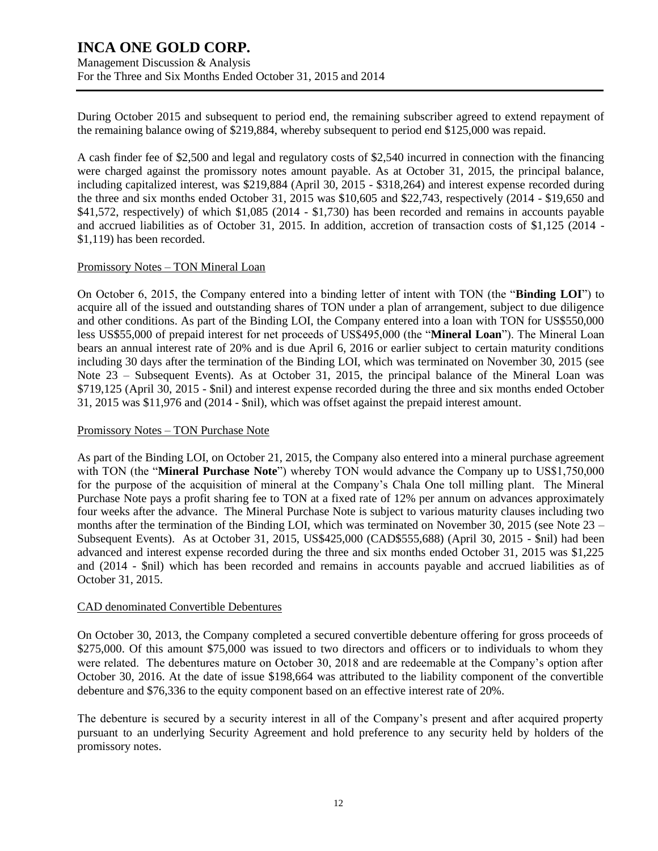Management Discussion & Analysis For the Three and Six Months Ended October 31, 2015 and 2014

During October 2015 and subsequent to period end, the remaining subscriber agreed to extend repayment of the remaining balance owing of \$219,884, whereby subsequent to period end \$125,000 was repaid.

A cash finder fee of \$2,500 and legal and regulatory costs of \$2,540 incurred in connection with the financing were charged against the promissory notes amount payable. As at October 31, 2015, the principal balance, including capitalized interest, was \$219,884 (April 30, 2015 - \$318,264) and interest expense recorded during the three and six months ended October 31, 2015 was \$10,605 and \$22,743, respectively (2014 - \$19,650 and \$41,572, respectively) of which \$1,085 (2014 - \$1,730) has been recorded and remains in accounts payable and accrued liabilities as of October 31, 2015. In addition, accretion of transaction costs of \$1,125 (2014 - \$1,119) has been recorded.

#### Promissory Notes – TON Mineral Loan

On October 6, 2015, the Company entered into a binding letter of intent with TON (the "**Binding LOI**") to acquire all of the issued and outstanding shares of TON under a plan of arrangement, subject to due diligence and other conditions. As part of the Binding LOI, the Company entered into a loan with TON for US\$550,000 less US\$55,000 of prepaid interest for net proceeds of US\$495,000 (the "**Mineral Loan**"). The Mineral Loan bears an annual interest rate of 20% and is due April 6, 2016 or earlier subject to certain maturity conditions including 30 days after the termination of the Binding LOI, which was terminated on November 30, 2015 (see Note 23 – Subsequent Events). As at October 31, 2015, the principal balance of the Mineral Loan was \$719,125 (April 30, 2015 - \$nil) and interest expense recorded during the three and six months ended October 31, 2015 was \$11,976 and (2014 - \$nil), which was offset against the prepaid interest amount.

#### Promissory Notes – TON Purchase Note

As part of the Binding LOI, on October 21, 2015, the Company also entered into a mineral purchase agreement with TON (the "**Mineral Purchase Note**") whereby TON would advance the Company up to US\$1,750,000 for the purpose of the acquisition of mineral at the Company's Chala One toll milling plant. The Mineral Purchase Note pays a profit sharing fee to TON at a fixed rate of 12% per annum on advances approximately four weeks after the advance. The Mineral Purchase Note is subject to various maturity clauses including two months after the termination of the Binding LOI, which was terminated on November 30, 2015 (see Note 23 – Subsequent Events). As at October 31, 2015, US\$425,000 (CAD\$555,688) (April 30, 2015 - \$nil) had been advanced and interest expense recorded during the three and six months ended October 31, 2015 was \$1,225 and (2014 - \$nil) which has been recorded and remains in accounts payable and accrued liabilities as of October 31, 2015.

#### CAD denominated Convertible Debentures

On October 30, 2013, the Company completed a secured convertible debenture offering for gross proceeds of \$275,000. Of this amount \$75,000 was issued to two directors and officers or to individuals to whom they were related. The debentures mature on October 30, 2018 and are redeemable at the Company's option after October 30, 2016. At the date of issue \$198,664 was attributed to the liability component of the convertible debenture and \$76,336 to the equity component based on an effective interest rate of 20%.

The debenture is secured by a security interest in all of the Company's present and after acquired property pursuant to an underlying Security Agreement and hold preference to any security held by holders of the promissory notes.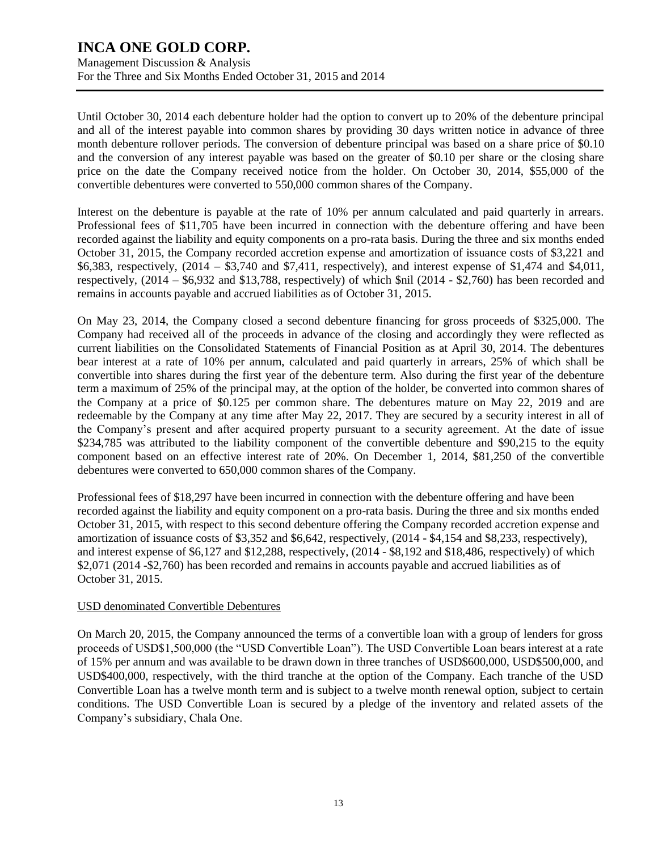Management Discussion & Analysis For the Three and Six Months Ended October 31, 2015 and 2014

Until October 30, 2014 each debenture holder had the option to convert up to 20% of the debenture principal and all of the interest payable into common shares by providing 30 days written notice in advance of three month debenture rollover periods. The conversion of debenture principal was based on a share price of \$0.10 and the conversion of any interest payable was based on the greater of \$0.10 per share or the closing share price on the date the Company received notice from the holder. On October 30, 2014, \$55,000 of the convertible debentures were converted to 550,000 common shares of the Company.

Interest on the debenture is payable at the rate of 10% per annum calculated and paid quarterly in arrears. Professional fees of \$11,705 have been incurred in connection with the debenture offering and have been recorded against the liability and equity components on a pro-rata basis. During the three and six months ended October 31, 2015, the Company recorded accretion expense and amortization of issuance costs of \$3,221 and \$6,383, respectively, (2014 – \$3,740 and \$7,411, respectively), and interest expense of \$1,474 and \$4,011, respectively, (2014 – \$6,932 and \$13,788, respectively) of which \$nil (2014 - \$2,760) has been recorded and remains in accounts payable and accrued liabilities as of October 31, 2015.

On May 23, 2014, the Company closed a second debenture financing for gross proceeds of \$325,000. The Company had received all of the proceeds in advance of the closing and accordingly they were reflected as current liabilities on the Consolidated Statements of Financial Position as at April 30, 2014. The debentures bear interest at a rate of 10% per annum, calculated and paid quarterly in arrears, 25% of which shall be convertible into shares during the first year of the debenture term. Also during the first year of the debenture term a maximum of 25% of the principal may, at the option of the holder, be converted into common shares of the Company at a price of \$0.125 per common share. The debentures mature on May 22, 2019 and are redeemable by the Company at any time after May 22, 2017. They are secured by a security interest in all of the Company's present and after acquired property pursuant to a security agreement. At the date of issue \$234,785 was attributed to the liability component of the convertible debenture and \$90,215 to the equity component based on an effective interest rate of 20%. On December 1, 2014, \$81,250 of the convertible debentures were converted to 650,000 common shares of the Company.

Professional fees of \$18,297 have been incurred in connection with the debenture offering and have been recorded against the liability and equity component on a pro-rata basis. During the three and six months ended October 31, 2015, with respect to this second debenture offering the Company recorded accretion expense and amortization of issuance costs of \$3,352 and \$6,642, respectively, (2014 - \$4,154 and \$8,233, respectively), and interest expense of \$6,127 and \$12,288, respectively, (2014 - \$8,192 and \$18,486, respectively) of which \$2,071 (2014 -\$2,760) has been recorded and remains in accounts payable and accrued liabilities as of October 31, 2015.

### USD denominated Convertible Debentures

On March 20, 2015, the Company announced the terms of a convertible loan with a group of lenders for gross proceeds of USD\$1,500,000 (the "USD Convertible Loan"). The USD Convertible Loan bears interest at a rate of 15% per annum and was available to be drawn down in three tranches of USD\$600,000, USD\$500,000, and USD\$400,000, respectively, with the third tranche at the option of the Company. Each tranche of the USD Convertible Loan has a twelve month term and is subject to a twelve month renewal option, subject to certain conditions. The USD Convertible Loan is secured by a pledge of the inventory and related assets of the Company's subsidiary, Chala One.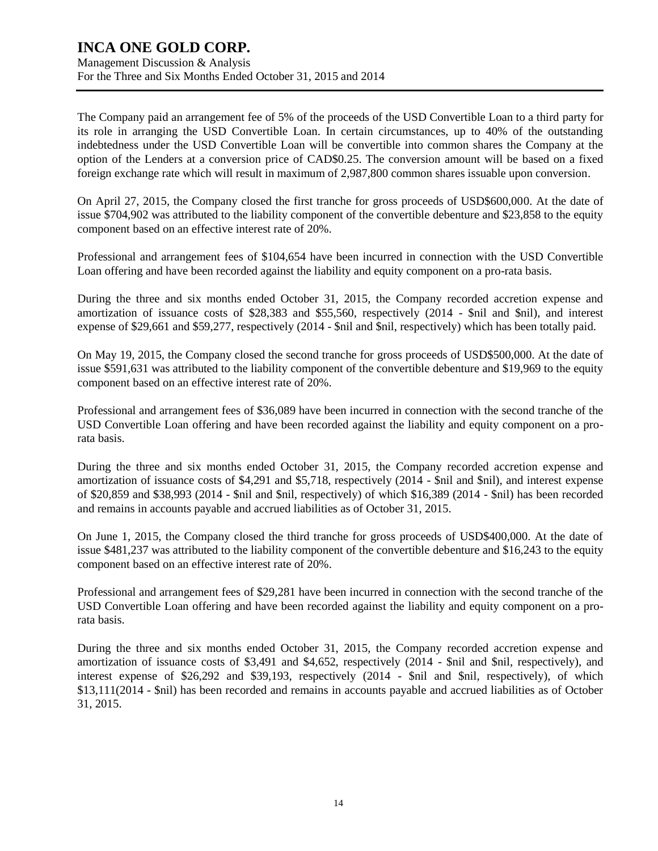### **INCA ONE GOLD CORP.** Management Discussion & Analysis

For the Three and Six Months Ended October 31, 2015 and 2014

The Company paid an arrangement fee of 5% of the proceeds of the USD Convertible Loan to a third party for its role in arranging the USD Convertible Loan. In certain circumstances, up to 40% of the outstanding indebtedness under the USD Convertible Loan will be convertible into common shares the Company at the option of the Lenders at a conversion price of CAD\$0.25. The conversion amount will be based on a fixed foreign exchange rate which will result in maximum of 2,987,800 common shares issuable upon conversion.

On April 27, 2015, the Company closed the first tranche for gross proceeds of USD\$600,000. At the date of issue \$704,902 was attributed to the liability component of the convertible debenture and \$23,858 to the equity component based on an effective interest rate of 20%.

Professional and arrangement fees of \$104,654 have been incurred in connection with the USD Convertible Loan offering and have been recorded against the liability and equity component on a pro-rata basis.

During the three and six months ended October 31, 2015, the Company recorded accretion expense and amortization of issuance costs of \$28,383 and \$55,560, respectively (2014 - \$nil and \$nil), and interest expense of \$29,661 and \$59,277, respectively (2014 - \$nil and \$nil, respectively) which has been totally paid.

On May 19, 2015, the Company closed the second tranche for gross proceeds of USD\$500,000. At the date of issue \$591,631 was attributed to the liability component of the convertible debenture and \$19,969 to the equity component based on an effective interest rate of 20%.

Professional and arrangement fees of \$36,089 have been incurred in connection with the second tranche of the USD Convertible Loan offering and have been recorded against the liability and equity component on a prorata basis.

During the three and six months ended October 31, 2015, the Company recorded accretion expense and amortization of issuance costs of \$4,291 and \$5,718, respectively (2014 - \$nil and \$nil), and interest expense of \$20,859 and \$38,993 (2014 - \$nil and \$nil, respectively) of which \$16,389 (2014 - \$nil) has been recorded and remains in accounts payable and accrued liabilities as of October 31, 2015.

On June 1, 2015, the Company closed the third tranche for gross proceeds of USD\$400,000. At the date of issue \$481,237 was attributed to the liability component of the convertible debenture and \$16,243 to the equity component based on an effective interest rate of 20%.

Professional and arrangement fees of \$29,281 have been incurred in connection with the second tranche of the USD Convertible Loan offering and have been recorded against the liability and equity component on a prorata basis.

During the three and six months ended October 31, 2015, the Company recorded accretion expense and amortization of issuance costs of \$3,491 and \$4,652, respectively (2014 - \$nil and \$nil, respectively), and interest expense of \$26,292 and \$39,193, respectively (2014 - \$nil and \$nil, respectively), of which \$13,111(2014 - \$nil) has been recorded and remains in accounts payable and accrued liabilities as of October 31, 2015.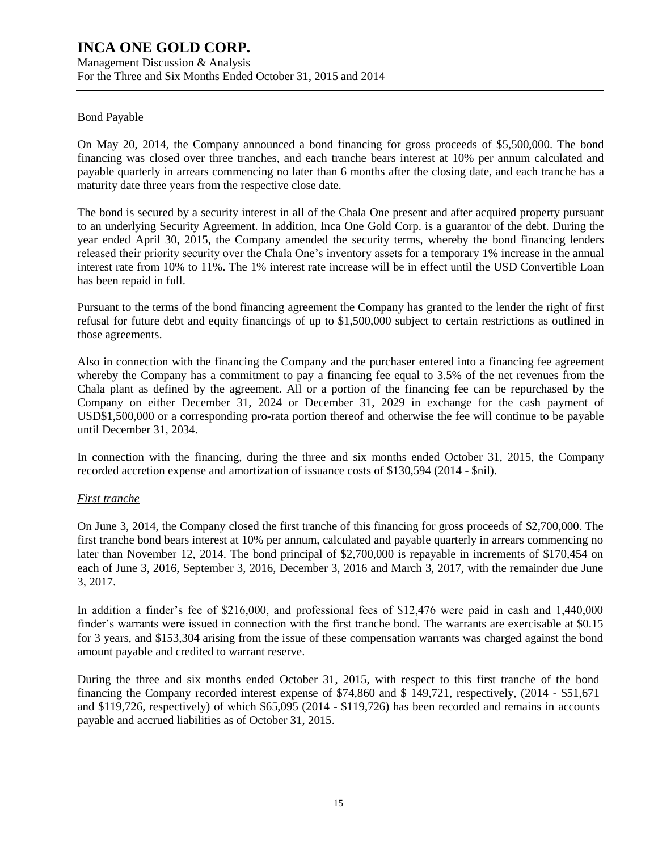Management Discussion & Analysis For the Three and Six Months Ended October 31, 2015 and 2014

### Bond Payable

On May 20, 2014, the Company announced a bond financing for gross proceeds of \$5,500,000. The bond financing was closed over three tranches, and each tranche bears interest at 10% per annum calculated and payable quarterly in arrears commencing no later than 6 months after the closing date, and each tranche has a maturity date three years from the respective close date.

The bond is secured by a security interest in all of the Chala One present and after acquired property pursuant to an underlying Security Agreement. In addition, Inca One Gold Corp. is a guarantor of the debt. During the year ended April 30, 2015, the Company amended the security terms, whereby the bond financing lenders released their priority security over the Chala One's inventory assets for a temporary 1% increase in the annual interest rate from 10% to 11%. The 1% interest rate increase will be in effect until the USD Convertible Loan has been repaid in full.

Pursuant to the terms of the bond financing agreement the Company has granted to the lender the right of first refusal for future debt and equity financings of up to \$1,500,000 subject to certain restrictions as outlined in those agreements.

Also in connection with the financing the Company and the purchaser entered into a financing fee agreement whereby the Company has a commitment to pay a financing fee equal to 3.5% of the net revenues from the Chala plant as defined by the agreement. All or a portion of the financing fee can be repurchased by the Company on either December 31, 2024 or December 31, 2029 in exchange for the cash payment of USD\$1,500,000 or a corresponding pro-rata portion thereof and otherwise the fee will continue to be payable until December 31, 2034.

In connection with the financing, during the three and six months ended October 31, 2015, the Company recorded accretion expense and amortization of issuance costs of \$130,594 (2014 - \$nil).

### *First tranche*

On June 3, 2014, the Company closed the first tranche of this financing for gross proceeds of \$2,700,000. The first tranche bond bears interest at 10% per annum, calculated and payable quarterly in arrears commencing no later than November 12, 2014. The bond principal of \$2,700,000 is repayable in increments of \$170,454 on each of June 3, 2016, September 3, 2016, December 3, 2016 and March 3, 2017, with the remainder due June 3, 2017.

In addition a finder's fee of \$216,000, and professional fees of \$12,476 were paid in cash and 1,440,000 finder's warrants were issued in connection with the first tranche bond. The warrants are exercisable at \$0.15 for 3 years, and \$153,304 arising from the issue of these compensation warrants was charged against the bond amount payable and credited to warrant reserve.

During the three and six months ended October 31, 2015, with respect to this first tranche of the bond financing the Company recorded interest expense of \$74,860 and \$ 149,721, respectively, (2014 - \$51,671 and \$119,726, respectively) of which \$65,095 (2014 - \$119,726) has been recorded and remains in accounts payable and accrued liabilities as of October 31, 2015.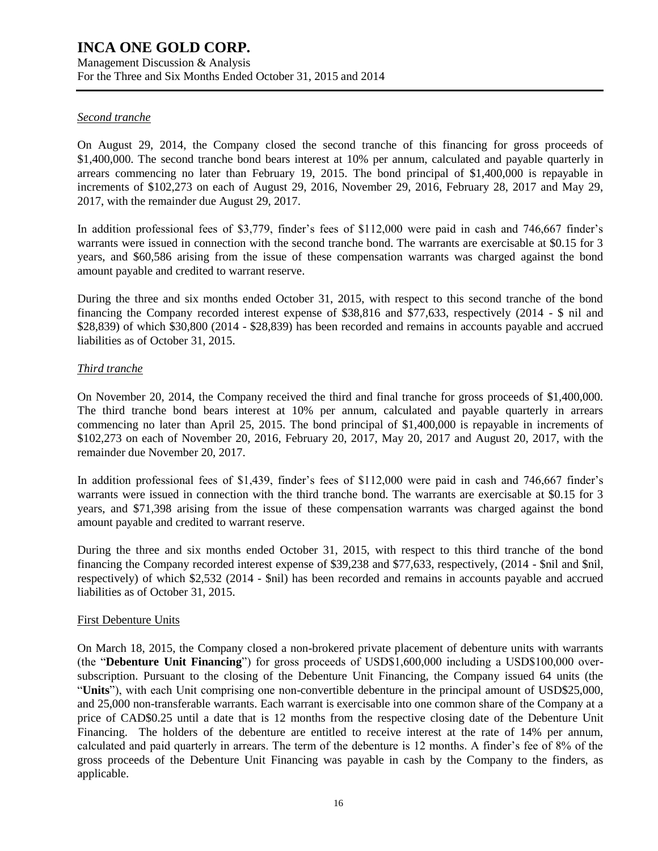### Management Discussion & Analysis For the Three and Six Months Ended October 31, 2015 and 2014

### *Second tranche*

On August 29, 2014, the Company closed the second tranche of this financing for gross proceeds of \$1,400,000. The second tranche bond bears interest at 10% per annum, calculated and payable quarterly in arrears commencing no later than February 19, 2015. The bond principal of \$1,400,000 is repayable in increments of \$102,273 on each of August 29, 2016, November 29, 2016, February 28, 2017 and May 29, 2017, with the remainder due August 29, 2017.

In addition professional fees of \$3,779, finder's fees of \$112,000 were paid in cash and 746,667 finder's warrants were issued in connection with the second tranche bond. The warrants are exercisable at \$0.15 for 3 years, and \$60,586 arising from the issue of these compensation warrants was charged against the bond amount payable and credited to warrant reserve.

During the three and six months ended October 31, 2015, with respect to this second tranche of the bond financing the Company recorded interest expense of \$38,816 and \$77,633, respectively (2014 - \$ nil and \$28,839) of which \$30,800 (2014 - \$28,839) has been recorded and remains in accounts payable and accrued liabilities as of October 31, 2015.

### *Third tranche*

On November 20, 2014, the Company received the third and final tranche for gross proceeds of \$1,400,000. The third tranche bond bears interest at 10% per annum, calculated and payable quarterly in arrears commencing no later than April 25, 2015. The bond principal of \$1,400,000 is repayable in increments of \$102,273 on each of November 20, 2016, February 20, 2017, May 20, 2017 and August 20, 2017, with the remainder due November 20, 2017.

In addition professional fees of \$1,439, finder's fees of \$112,000 were paid in cash and 746,667 finder's warrants were issued in connection with the third tranche bond. The warrants are exercisable at \$0.15 for 3 years, and \$71,398 arising from the issue of these compensation warrants was charged against the bond amount payable and credited to warrant reserve.

During the three and six months ended October 31, 2015, with respect to this third tranche of the bond financing the Company recorded interest expense of \$39,238 and \$77,633, respectively, (2014 - \$nil and \$nil, respectively) of which \$2,532 (2014 - \$nil) has been recorded and remains in accounts payable and accrued liabilities as of October 31, 2015.

### First Debenture Units

On March 18, 2015, the Company closed a non-brokered private placement of debenture units with warrants (the "**Debenture Unit Financing**") for gross proceeds of USD\$1,600,000 including a USD\$100,000 oversubscription. Pursuant to the closing of the Debenture Unit Financing, the Company issued 64 units (the "**Units**"), with each Unit comprising one non-convertible debenture in the principal amount of USD\$25,000, and 25,000 non-transferable warrants. Each warrant is exercisable into one common share of the Company at a price of CAD\$0.25 until a date that is 12 months from the respective closing date of the Debenture Unit Financing. The holders of the debenture are entitled to receive interest at the rate of 14% per annum, calculated and paid quarterly in arrears. The term of the debenture is 12 months. A finder's fee of 8% of the gross proceeds of the Debenture Unit Financing was payable in cash by the Company to the finders, as applicable.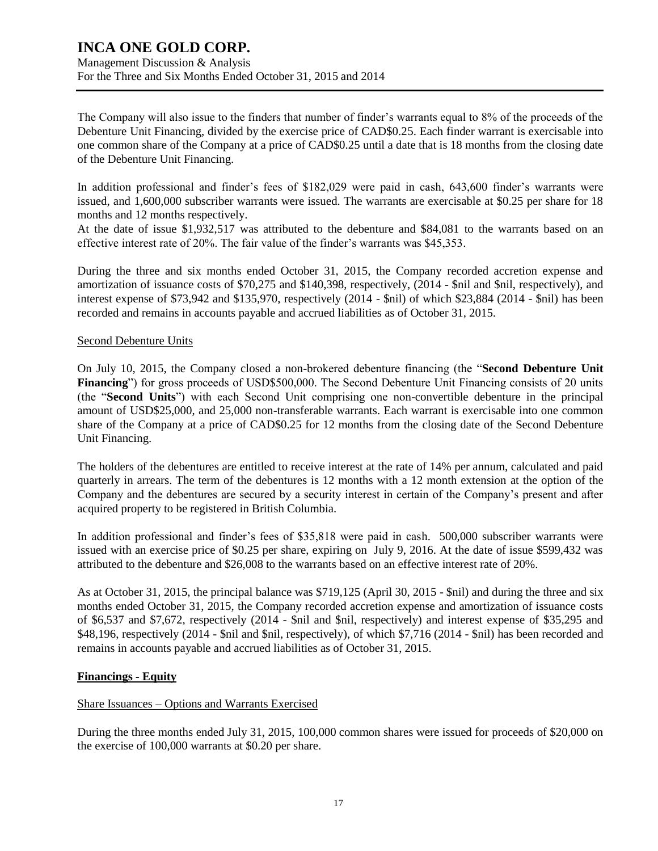The Company will also issue to the finders that number of finder's warrants equal to 8% of the proceeds of the Debenture Unit Financing, divided by the exercise price of CAD\$0.25. Each finder warrant is exercisable into one common share of the Company at a price of CAD\$0.25 until a date that is 18 months from the closing date of the Debenture Unit Financing.

In addition professional and finder's fees of \$182,029 were paid in cash, 643,600 finder's warrants were issued, and 1,600,000 subscriber warrants were issued. The warrants are exercisable at \$0.25 per share for 18 months and 12 months respectively.

At the date of issue \$1,932,517 was attributed to the debenture and \$84,081 to the warrants based on an effective interest rate of 20%. The fair value of the finder's warrants was \$45,353.

During the three and six months ended October 31, 2015, the Company recorded accretion expense and amortization of issuance costs of \$70,275 and \$140,398, respectively, (2014 - \$nil and \$nil, respectively), and interest expense of \$73,942 and \$135,970, respectively (2014 - \$nil) of which \$23,884 (2014 - \$nil) has been recorded and remains in accounts payable and accrued liabilities as of October 31, 2015.

### Second Debenture Units

On July 10, 2015, the Company closed a non-brokered debenture financing (the "**Second Debenture Unit Financing**") for gross proceeds of USD\$500,000. The Second Debenture Unit Financing consists of 20 units (the "**Second Units**") with each Second Unit comprising one non-convertible debenture in the principal amount of USD\$25,000, and 25,000 non-transferable warrants. Each warrant is exercisable into one common share of the Company at a price of CAD\$0.25 for 12 months from the closing date of the Second Debenture Unit Financing.

The holders of the debentures are entitled to receive interest at the rate of 14% per annum, calculated and paid quarterly in arrears. The term of the debentures is 12 months with a 12 month extension at the option of the Company and the debentures are secured by a security interest in certain of the Company's present and after acquired property to be registered in British Columbia.

In addition professional and finder's fees of \$35,818 were paid in cash. 500,000 subscriber warrants were issued with an exercise price of \$0.25 per share, expiring on July 9, 2016. At the date of issue \$599,432 was attributed to the debenture and \$26,008 to the warrants based on an effective interest rate of 20%.

As at October 31, 2015, the principal balance was \$719,125 (April 30, 2015 - \$nil) and during the three and six months ended October 31, 2015, the Company recorded accretion expense and amortization of issuance costs of \$6,537 and \$7,672, respectively (2014 - \$nil and \$nil, respectively) and interest expense of \$35,295 and \$48,196, respectively (2014 - \$nil and \$nil, respectively), of which \$7,716 (2014 - \$nil) has been recorded and remains in accounts payable and accrued liabilities as of October 31, 2015.

### **Financings - Equity**

### Share Issuances – Options and Warrants Exercised

During the three months ended July 31, 2015, 100,000 common shares were issued for proceeds of \$20,000 on the exercise of 100,000 warrants at \$0.20 per share.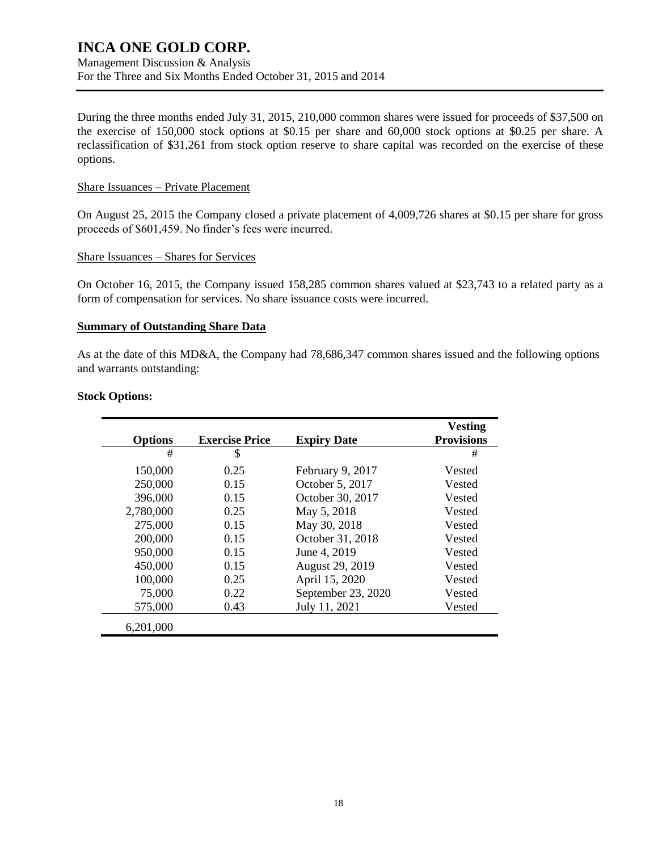Management Discussion & Analysis For the Three and Six Months Ended October 31, 2015 and 2014

During the three months ended July 31, 2015, 210,000 common shares were issued for proceeds of \$37,500 on the exercise of 150,000 stock options at \$0.15 per share and 60,000 stock options at \$0.25 per share. A reclassification of \$31,261 from stock option reserve to share capital was recorded on the exercise of these options.

#### Share Issuances – Private Placement

On August 25, 2015 the Company closed a private placement of 4,009,726 shares at \$0.15 per share for gross proceeds of \$601,459. No finder's fees were incurred.

#### Share Issuances – Shares for Services

On October 16, 2015, the Company issued 158,285 common shares valued at \$23,743 to a related party as a form of compensation for services. No share issuance costs were incurred.

#### **Summary of Outstanding Share Data**

As at the date of this MD&A, the Company had 78,686,347 common shares issued and the following options and warrants outstanding:

|                |                       |                    | <b>Vesting</b>    |
|----------------|-----------------------|--------------------|-------------------|
| <b>Options</b> | <b>Exercise Price</b> | <b>Expiry Date</b> | <b>Provisions</b> |
| #              | \$                    |                    | #                 |
| 150,000        | 0.25                  | February 9, 2017   | Vested            |
| 250,000        | 0.15                  | October 5, 2017    | Vested            |
| 396,000        | 0.15                  | October 30, 2017   | Vested            |
| 2,780,000      | 0.25                  | May 5, 2018        | Vested            |
| 275,000        | 0.15                  | May 30, 2018       | Vested            |
| 200,000        | 0.15                  | October 31, 2018   | Vested            |
| 950,000        | 0.15                  | June 4, 2019       | Vested            |
| 450,000        | 0.15                  | August 29, 2019    | Vested            |
| 100,000        | 0.25                  | April 15, 2020     | Vested            |
| 75,000         | 0.22                  | September 23, 2020 | Vested            |
| 575,000        | 0.43                  | July 11, 2021      | Vested            |
| 6,201,000      |                       |                    |                   |

### **Stock Options:**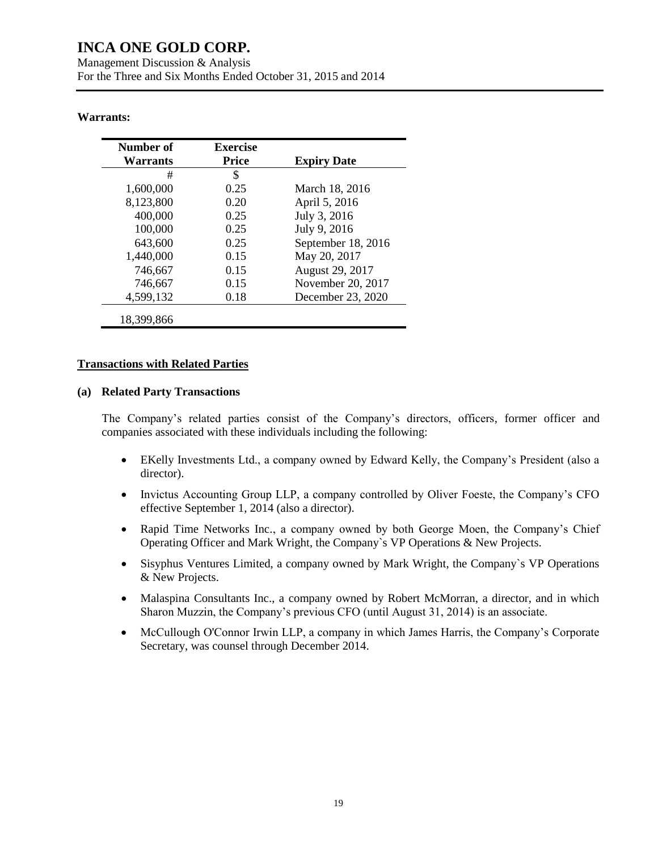### **Warrants:**

| Number of<br>Warrants | <b>Exercise</b><br><b>Price</b> | <b>Expiry Date</b> |
|-----------------------|---------------------------------|--------------------|
| #                     | \$                              |                    |
| 1,600,000             | 0.25                            | March 18, 2016     |
| 8,123,800             | 0.20                            | April 5, 2016      |
| 400,000               | 0.25                            | July 3, 2016       |
| 100,000               | 0.25                            | July 9, 2016       |
| 643,600               | 0.25                            | September 18, 2016 |
| 1,440,000             | 0.15                            | May 20, 2017       |
| 746,667               | 0.15                            | August 29, 2017    |
| 746,667               | 0.15                            | November 20, 2017  |
| 4,599,132             | 0.18                            | December 23, 2020  |
| 18,399,866            |                                 |                    |

#### **Transactions with Related Parties**

### **(a) Related Party Transactions**

The Company's related parties consist of the Company's directors, officers, former officer and companies associated with these individuals including the following:

- EKelly Investments Ltd., a company owned by Edward Kelly, the Company's President (also a director).
- Invictus Accounting Group LLP, a company controlled by Oliver Foeste, the Company's CFO effective September 1, 2014 (also a director).
- Rapid Time Networks Inc., a company owned by both George Moen, the Company's Chief Operating Officer and Mark Wright, the Company`s VP Operations & New Projects.
- Sisyphus Ventures Limited, a company owned by Mark Wright, the Company`s VP Operations & New Projects.
- Malaspina Consultants Inc., a company owned by Robert McMorran, a director, and in which Sharon Muzzin, the Company's previous CFO (until August 31, 2014) is an associate.
- McCullough O'Connor Irwin LLP, a company in which James Harris, the Company's Corporate Secretary, was counsel through December 2014.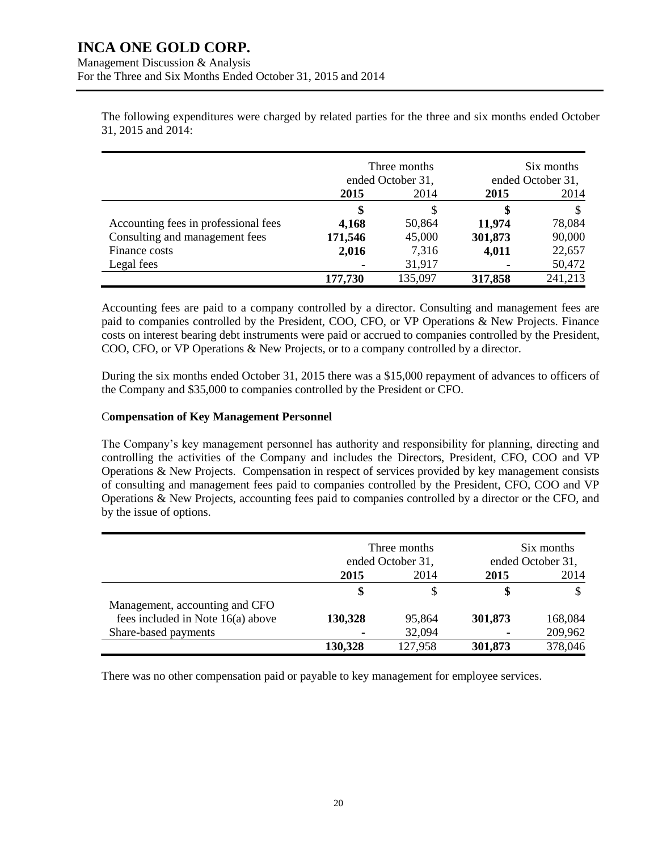The following expenditures were charged by related parties for the three and six months ended October 31, 2015 and 2014:

|                                      | Three months<br>ended October 31, |         | Six months<br>ended October 31, |         |
|--------------------------------------|-----------------------------------|---------|---------------------------------|---------|
|                                      | 2015                              | 2014    | 2015                            | 2014    |
|                                      | \$                                | S       | \$                              | S       |
| Accounting fees in professional fees | 4,168                             | 50,864  | 11,974                          | 78,084  |
| Consulting and management fees       | 171,546                           | 45,000  | 301,873                         | 90,000  |
| Finance costs                        | 2,016                             | 7,316   | 4,011                           | 22,657  |
| Legal fees                           |                                   | 31,917  | ۰                               | 50,472  |
|                                      | 177,730                           | 135,097 | 317,858                         | 241,213 |

Accounting fees are paid to a company controlled by a director. Consulting and management fees are paid to companies controlled by the President, COO, CFO, or VP Operations & New Projects. Finance costs on interest bearing debt instruments were paid or accrued to companies controlled by the President, COO, CFO, or VP Operations & New Projects, or to a company controlled by a director.

During the six months ended October 31, 2015 there was a \$15,000 repayment of advances to officers of the Company and \$35,000 to companies controlled by the President or CFO.

### C**ompensation of Key Management Personnel**

The Company's key management personnel has authority and responsibility for planning, directing and controlling the activities of the Company and includes the Directors, President, CFO, COO and VP Operations & New Projects. Compensation in respect of services provided by key management consists of consulting and management fees paid to companies controlled by the President, CFO, COO and VP Operations & New Projects, accounting fees paid to companies controlled by a director or the CFO, and by the issue of options.

|                                   | Three months<br>ended October 31, |         | Six months<br>ended October 31, |         |
|-----------------------------------|-----------------------------------|---------|---------------------------------|---------|
|                                   | 2015                              | 2014    | 2015                            | 2014    |
|                                   | \$                                | S       | \$                              |         |
| Management, accounting and CFO    |                                   |         |                                 |         |
| fees included in Note 16(a) above | 130,328                           | 95,864  | 301,873                         | 168,084 |
| Share-based payments              |                                   | 32,094  | ۰                               | 209,962 |
|                                   | 130,328                           | 127,958 | 301,873                         | 378,046 |

There was no other compensation paid or payable to key management for employee services.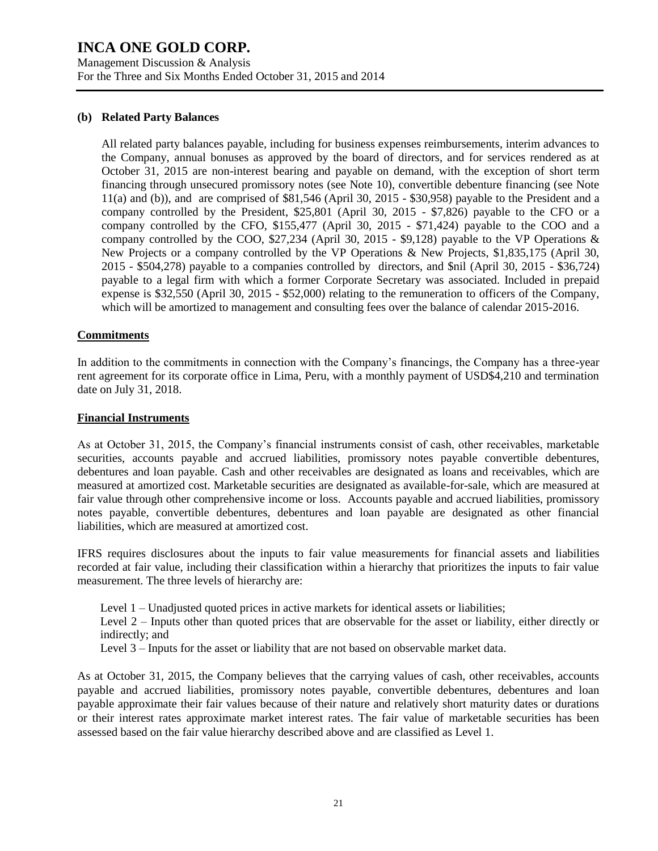Management Discussion & Analysis For the Three and Six Months Ended October 31, 2015 and 2014

#### **(b) Related Party Balances**

All related party balances payable, including for business expenses reimbursements, interim advances to the Company, annual bonuses as approved by the board of directors, and for services rendered as at October 31, 2015 are non-interest bearing and payable on demand, with the exception of short term financing through unsecured promissory notes (see Note 10), convertible debenture financing (see Note 11(a) and (b)), and are comprised of \$81,546 (April 30, 2015 - \$30,958) payable to the President and a company controlled by the President, \$25,801 (April 30, 2015 - \$7,826) payable to the CFO or a company controlled by the CFO, \$155,477 (April 30, 2015 - \$71,424) payable to the COO and a company controlled by the COO, \$27,234 (April 30, 2015 - \$9,128) payable to the VP Operations & New Projects or a company controlled by the VP Operations & New Projects, \$1,835,175 (April 30, 2015 - \$504,278) payable to a companies controlled by directors, and \$nil (April 30, 2015 - \$36,724) payable to a legal firm with which a former Corporate Secretary was associated. Included in prepaid expense is \$32,550 (April 30, 2015 - \$52,000) relating to the remuneration to officers of the Company, which will be amortized to management and consulting fees over the balance of calendar 2015-2016.

#### **Commitments**

In addition to the commitments in connection with the Company's financings, the Company has a three-year rent agreement for its corporate office in Lima, Peru, with a monthly payment of USD\$4,210 and termination date on July 31, 2018.

#### **Financial Instruments**

As at October 31, 2015, the Company's financial instruments consist of cash, other receivables, marketable securities, accounts payable and accrued liabilities, promissory notes payable convertible debentures, debentures and loan payable. Cash and other receivables are designated as loans and receivables, which are measured at amortized cost. Marketable securities are designated as available-for-sale, which are measured at fair value through other comprehensive income or loss. Accounts payable and accrued liabilities, promissory notes payable, convertible debentures, debentures and loan payable are designated as other financial liabilities, which are measured at amortized cost.

IFRS requires disclosures about the inputs to fair value measurements for financial assets and liabilities recorded at fair value, including their classification within a hierarchy that prioritizes the inputs to fair value measurement. The three levels of hierarchy are:

Level 1 – Unadjusted quoted prices in active markets for identical assets or liabilities;

Level 2 – Inputs other than quoted prices that are observable for the asset or liability, either directly or indirectly; and

Level 3 – Inputs for the asset or liability that are not based on observable market data.

As at October 31, 2015, the Company believes that the carrying values of cash, other receivables, accounts payable and accrued liabilities, promissory notes payable, convertible debentures, debentures and loan payable approximate their fair values because of their nature and relatively short maturity dates or durations or their interest rates approximate market interest rates. The fair value of marketable securities has been assessed based on the fair value hierarchy described above and are classified as Level 1.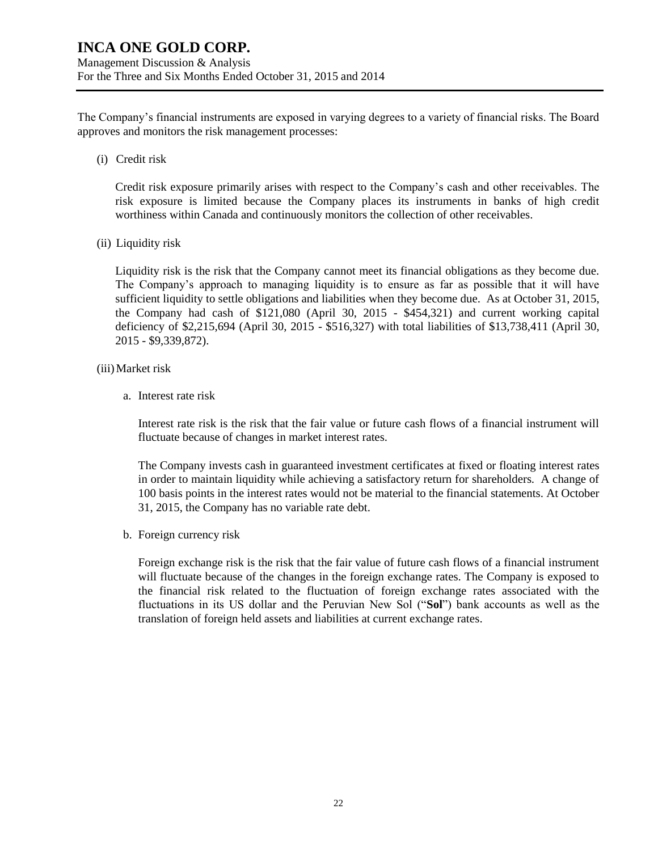The Company's financial instruments are exposed in varying degrees to a variety of financial risks. The Board approves and monitors the risk management processes:

(i) Credit risk

Credit risk exposure primarily arises with respect to the Company's cash and other receivables. The risk exposure is limited because the Company places its instruments in banks of high credit worthiness within Canada and continuously monitors the collection of other receivables.

(ii) Liquidity risk

Liquidity risk is the risk that the Company cannot meet its financial obligations as they become due. The Company's approach to managing liquidity is to ensure as far as possible that it will have sufficient liquidity to settle obligations and liabilities when they become due. As at October 31, 2015, the Company had cash of \$121,080 (April 30, 2015 - \$454,321) and current working capital deficiency of \$2,215,694 (April 30, 2015 - \$516,327) with total liabilities of \$13,738,411 (April 30, 2015 - \$9,339,872).

- (iii)Market risk
	- a. Interest rate risk

Interest rate risk is the risk that the fair value or future cash flows of a financial instrument will fluctuate because of changes in market interest rates.

The Company invests cash in guaranteed investment certificates at fixed or floating interest rates in order to maintain liquidity while achieving a satisfactory return for shareholders. A change of 100 basis points in the interest rates would not be material to the financial statements. At October 31, 2015, the Company has no variable rate debt.

b. Foreign currency risk

Foreign exchange risk is the risk that the fair value of future cash flows of a financial instrument will fluctuate because of the changes in the foreign exchange rates. The Company is exposed to the financial risk related to the fluctuation of foreign exchange rates associated with the fluctuations in its US dollar and the Peruvian New Sol ("**Sol**") bank accounts as well as the translation of foreign held assets and liabilities at current exchange rates.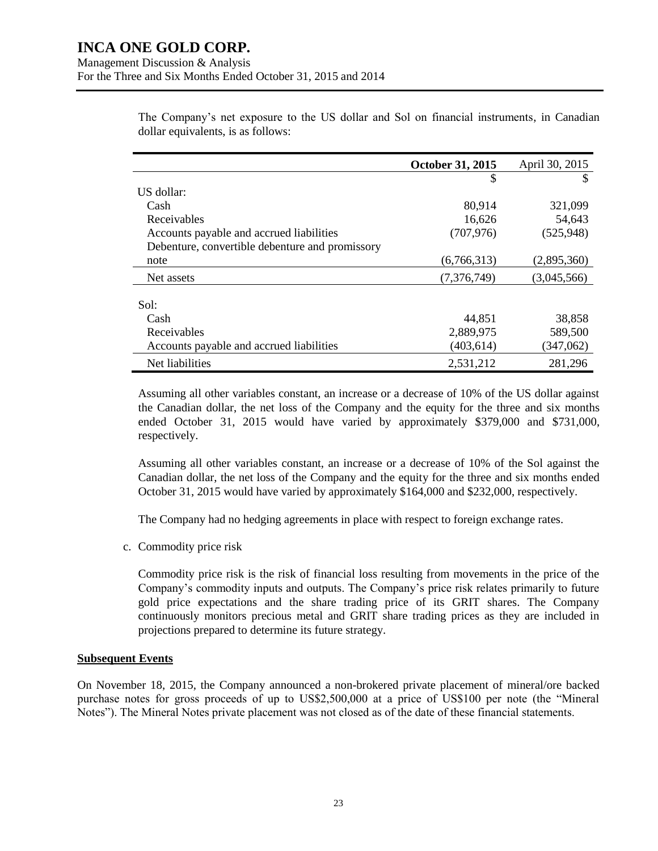The Company's net exposure to the US dollar and Sol on financial instruments, in Canadian dollar equivalents, is as follows:

|                                                 | October 31, 2015 | April 30, 2015 |
|-------------------------------------------------|------------------|----------------|
|                                                 | \$               |                |
| US dollar:                                      |                  |                |
| Cash                                            | 80,914           | 321,099        |
| Receivables                                     | 16,626           | 54,643         |
| Accounts payable and accrued liabilities        | (707, 976)       | (525, 948)     |
| Debenture, convertible debenture and promissory |                  |                |
| note                                            | (6,766,313)      | (2,895,360)    |
| Net assets                                      | (7,376,749)      | (3,045,566)    |
|                                                 |                  |                |
| Sol:                                            |                  |                |
| Cash                                            | 44,851           | 38,858         |
| Receivables                                     | 2,889,975        | 589,500        |
| Accounts payable and accrued liabilities        | (403, 614)       | (347,062)      |
| Net liabilities                                 | 2,531,212        | 281,296        |

Assuming all other variables constant, an increase or a decrease of 10% of the US dollar against the Canadian dollar, the net loss of the Company and the equity for the three and six months ended October 31, 2015 would have varied by approximately \$379,000 and \$731,000, respectively.

Assuming all other variables constant, an increase or a decrease of 10% of the Sol against the Canadian dollar, the net loss of the Company and the equity for the three and six months ended October 31, 2015 would have varied by approximately \$164,000 and \$232,000, respectively.

The Company had no hedging agreements in place with respect to foreign exchange rates.

c. Commodity price risk

Commodity price risk is the risk of financial loss resulting from movements in the price of the Company's commodity inputs and outputs. The Company's price risk relates primarily to future gold price expectations and the share trading price of its GRIT shares. The Company continuously monitors precious metal and GRIT share trading prices as they are included in projections prepared to determine its future strategy.

### **Subsequent Events**

On November 18, 2015, the Company announced a non-brokered private placement of mineral/ore backed purchase notes for gross proceeds of up to US\$2,500,000 at a price of US\$100 per note (the "Mineral Notes"). The Mineral Notes private placement was not closed as of the date of these financial statements.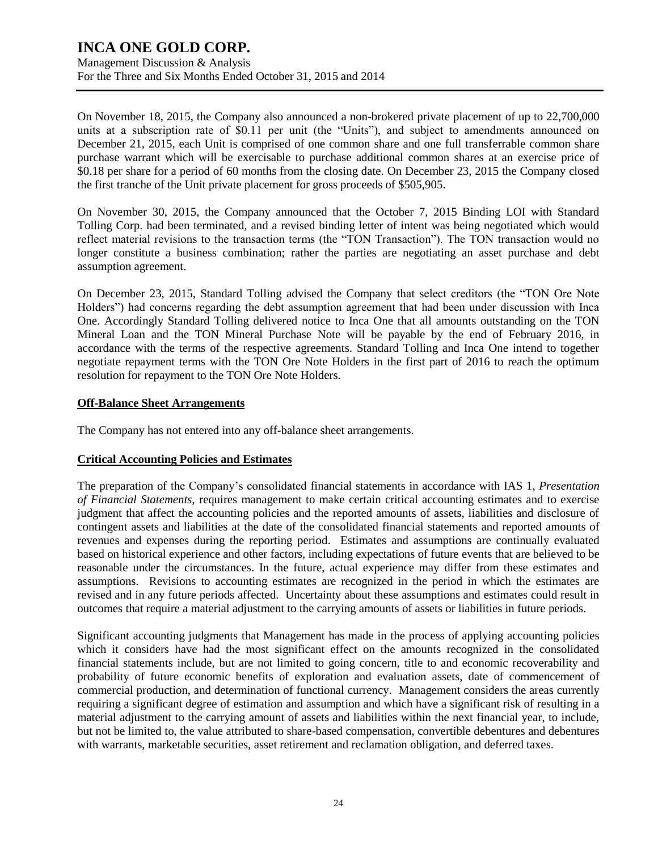Management Discussion & Analysis For the Three and Six Months Ended October 31, 2015 and 2014

On November 18, 2015, the Company also announced a non-brokered private placement of up to 22,700,000 units at a subscription rate of \$0.11 per unit (the "Units"), and subject to amendments announced on December 21, 2015, each Unit is comprised of one common share and one full transferrable common share purchase warrant which will be exercisable to purchase additional common shares at an exercise price of \$0.18 per share for a period of 60 months from the closing date. On December 23, 2015 the Company closed the first tranche of the Unit private placement for gross proceeds of \$505,905.

On November 30, 2015, the Company announced that the October 7, 2015 Binding LOI with Standard Tolling Corp. had been terminated, and a revised binding letter of intent was being negotiated which would reflect material revisions to the transaction terms (the "TON Transaction"). The TON transaction would no longer constitute a business combination; rather the parties are negotiating an asset purchase and debt assumption agreement.

On December 23, 2015, Standard Tolling advised the Company that select creditors (the "TON Ore Note Holders") had concerns regarding the debt assumption agreement that had been under discussion with Inca One. Accordingly Standard Tolling delivered notice to Inca One that all amounts outstanding on the TON Mineral Loan and the TON Mineral Purchase Note will be payable by the end of February 2016, in accordance with the terms of the respective agreements. Standard Tolling and Inca One intend to together negotiate repayment terms with the TON Ore Note Holders in the first part of 2016 to reach the optimum resolution for repayment to the TON Ore Note Holders.

### **Off-Balance Sheet Arrangements**

The Company has not entered into any off-balance sheet arrangements.

### **Critical Accounting Policies and Estimates**

The preparation of the Company's consolidated financial statements in accordance with IAS 1, *Presentation of Financial Statements*, requires management to make certain critical accounting estimates and to exercise judgment that affect the accounting policies and the reported amounts of assets, liabilities and disclosure of contingent assets and liabilities at the date of the consolidated financial statements and reported amounts of revenues and expenses during the reporting period. Estimates and assumptions are continually evaluated based on historical experience and other factors, including expectations of future events that are believed to be reasonable under the circumstances. In the future, actual experience may differ from these estimates and assumptions. Revisions to accounting estimates are recognized in the period in which the estimates are revised and in any future periods affected. Uncertainty about these assumptions and estimates could result in outcomes that require a material adjustment to the carrying amounts of assets or liabilities in future periods.

Significant accounting judgments that Management has made in the process of applying accounting policies which it considers have had the most significant effect on the amounts recognized in the consolidated financial statements include, but are not limited to going concern, title to and economic recoverability and probability of future economic benefits of exploration and evaluation assets, date of commencement of commercial production, and determination of functional currency. Management considers the areas currently requiring a significant degree of estimation and assumption and which have a significant risk of resulting in a material adjustment to the carrying amount of assets and liabilities within the next financial year, to include, but not be limited to, the value attributed to share-based compensation, convertible debentures and debentures with warrants, marketable securities, asset retirement and reclamation obligation, and deferred taxes.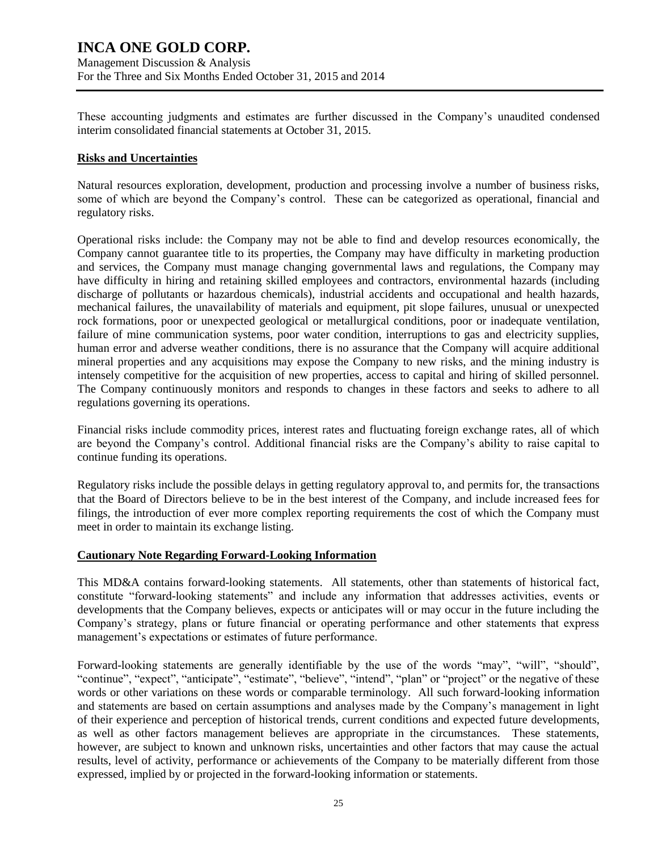These accounting judgments and estimates are further discussed in the Company's unaudited condensed interim consolidated financial statements at October 31, 2015.

#### **Risks and Uncertainties**

Natural resources exploration, development, production and processing involve a number of business risks, some of which are beyond the Company's control. These can be categorized as operational, financial and regulatory risks.

Operational risks include: the Company may not be able to find and develop resources economically, the Company cannot guarantee title to its properties, the Company may have difficulty in marketing production and services, the Company must manage changing governmental laws and regulations, the Company may have difficulty in hiring and retaining skilled employees and contractors, environmental hazards (including discharge of pollutants or hazardous chemicals), industrial accidents and occupational and health hazards, mechanical failures, the unavailability of materials and equipment, pit slope failures, unusual or unexpected rock formations, poor or unexpected geological or metallurgical conditions, poor or inadequate ventilation, failure of mine communication systems, poor water condition, interruptions to gas and electricity supplies, human error and adverse weather conditions, there is no assurance that the Company will acquire additional mineral properties and any acquisitions may expose the Company to new risks, and the mining industry is intensely competitive for the acquisition of new properties, access to capital and hiring of skilled personnel. The Company continuously monitors and responds to changes in these factors and seeks to adhere to all regulations governing its operations.

Financial risks include commodity prices, interest rates and fluctuating foreign exchange rates, all of which are beyond the Company's control. Additional financial risks are the Company's ability to raise capital to continue funding its operations.

Regulatory risks include the possible delays in getting regulatory approval to, and permits for, the transactions that the Board of Directors believe to be in the best interest of the Company, and include increased fees for filings, the introduction of ever more complex reporting requirements the cost of which the Company must meet in order to maintain its exchange listing.

### **Cautionary Note Regarding Forward-Looking Information**

This MD&A contains forward-looking statements. All statements, other than statements of historical fact, constitute "forward-looking statements" and include any information that addresses activities, events or developments that the Company believes, expects or anticipates will or may occur in the future including the Company's strategy, plans or future financial or operating performance and other statements that express management's expectations or estimates of future performance.

Forward-looking statements are generally identifiable by the use of the words "may", "will", "should", "continue", "expect", "anticipate", "estimate", "believe", "intend", "plan" or "project" or the negative of these words or other variations on these words or comparable terminology. All such forward-looking information and statements are based on certain assumptions and analyses made by the Company's management in light of their experience and perception of historical trends, current conditions and expected future developments, as well as other factors management believes are appropriate in the circumstances. These statements, however, are subject to known and unknown risks, uncertainties and other factors that may cause the actual results, level of activity, performance or achievements of the Company to be materially different from those expressed, implied by or projected in the forward-looking information or statements.